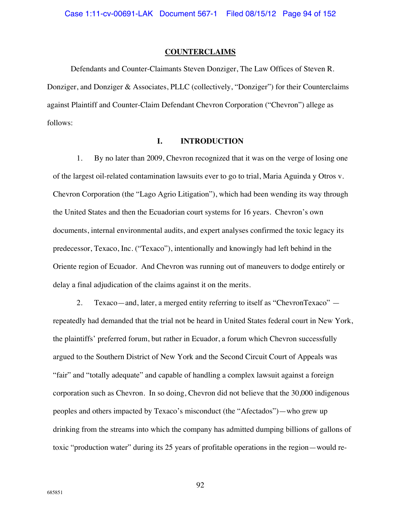### **COUNTERCLAIMS**

Defendants and Counter-Claimants Steven Donziger, The Law Offices of Steven R. Donziger, and Donziger & Associates, PLLC (collectively, "Donziger") for their Counterclaims against Plaintiff and Counter-Claim Defendant Chevron Corporation ("Chevron") allege as follows:

## **I. INTRODUCTION**

1. By no later than 2009, Chevron recognized that it was on the verge of losing one of the largest oil-related contamination lawsuits ever to go to trial, Maria Aguinda y Otros v. Chevron Corporation (the "Lago Agrio Litigation"), which had been wending its way through the United States and then the Ecuadorian court systems for 16 years. Chevron's own documents, internal environmental audits, and expert analyses confirmed the toxic legacy its predecessor, Texaco, Inc. ("Texaco"), intentionally and knowingly had left behind in the Oriente region of Ecuador. And Chevron was running out of maneuvers to dodge entirely or delay a final adjudication of the claims against it on the merits.

2. Texaco—and, later, a merged entity referring to itself as "ChevronTexaco" repeatedly had demanded that the trial not be heard in United States federal court in New York, the plaintiffs' preferred forum, but rather in Ecuador, a forum which Chevron successfully argued to the Southern District of New York and the Second Circuit Court of Appeals was "fair" and "totally adequate" and capable of handling a complex lawsuit against a foreign corporation such as Chevron. In so doing, Chevron did not believe that the 30,000 indigenous peoples and others impacted by Texaco's misconduct (the "Afectados")—who grew up drinking from the streams into which the company has admitted dumping billions of gallons of toxic "production water" during its 25 years of profitable operations in the region—would re-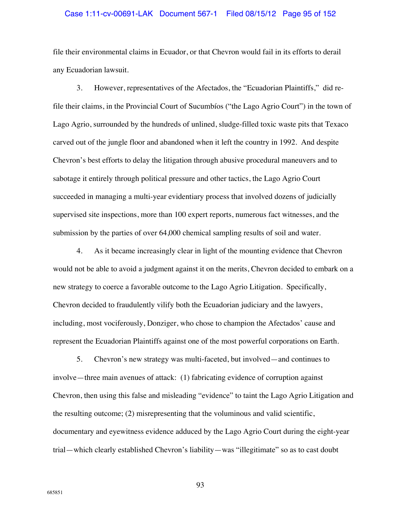### Case 1:11-cv-00691-LAK Document 567-1 Filed 08/15/12 Page 95 of 152

file their environmental claims in Ecuador, or that Chevron would fail in its efforts to derail any Ecuadorian lawsuit.

3. However, representatives of the Afectados, the "Ecuadorian Plaintiffs," did refile their claims, in the Provincial Court of Sucumbíos ("the Lago Agrio Court") in the town of Lago Agrio, surrounded by the hundreds of unlined, sludge-filled toxic waste pits that Texaco carved out of the jungle floor and abandoned when it left the country in 1992. And despite Chevron's best efforts to delay the litigation through abusive procedural maneuvers and to sabotage it entirely through political pressure and other tactics, the Lago Agrio Court succeeded in managing a multi-year evidentiary process that involved dozens of judicially supervised site inspections, more than 100 expert reports, numerous fact witnesses, and the submission by the parties of over 64,000 chemical sampling results of soil and water.

4. As it became increasingly clear in light of the mounting evidence that Chevron would not be able to avoid a judgment against it on the merits, Chevron decided to embark on a new strategy to coerce a favorable outcome to the Lago Agrio Litigation. Specifically, Chevron decided to fraudulently vilify both the Ecuadorian judiciary and the lawyers, including, most vociferously, Donziger, who chose to champion the Afectados' cause and represent the Ecuadorian Plaintiffs against one of the most powerful corporations on Earth.

5. Chevron's new strategy was multi-faceted, but involved—and continues to involve—three main avenues of attack: (1) fabricating evidence of corruption against Chevron, then using this false and misleading "evidence" to taint the Lago Agrio Litigation and the resulting outcome; (2) misrepresenting that the voluminous and valid scientific, documentary and eyewitness evidence adduced by the Lago Agrio Court during the eight-year trial—which clearly established Chevron's liability—was "illegitimate" so as to cast doubt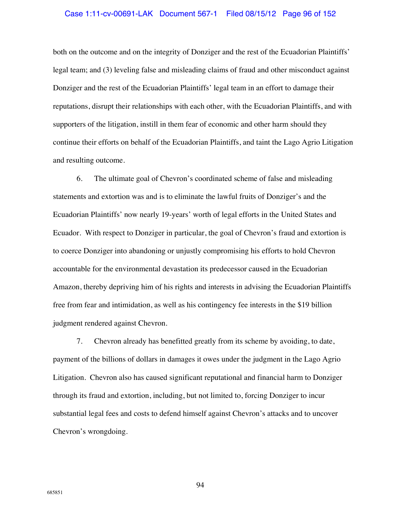### Case 1:11-cv-00691-LAK Document 567-1 Filed 08/15/12 Page 96 of 152

both on the outcome and on the integrity of Donziger and the rest of the Ecuadorian Plaintiffs' legal team; and (3) leveling false and misleading claims of fraud and other misconduct against Donziger and the rest of the Ecuadorian Plaintiffs' legal team in an effort to damage their reputations, disrupt their relationships with each other, with the Ecuadorian Plaintiffs, and with supporters of the litigation, instill in them fear of economic and other harm should they continue their efforts on behalf of the Ecuadorian Plaintiffs, and taint the Lago Agrio Litigation and resulting outcome.

6. The ultimate goal of Chevron's coordinated scheme of false and misleading statements and extortion was and is to eliminate the lawful fruits of Donziger's and the Ecuadorian Plaintiffs' now nearly 19-years' worth of legal efforts in the United States and Ecuador. With respect to Donziger in particular, the goal of Chevron's fraud and extortion is to coerce Donziger into abandoning or unjustly compromising his efforts to hold Chevron accountable for the environmental devastation its predecessor caused in the Ecuadorian Amazon, thereby depriving him of his rights and interests in advising the Ecuadorian Plaintiffs free from fear and intimidation, as well as his contingency fee interests in the \$19 billion judgment rendered against Chevron.

7. Chevron already has benefitted greatly from its scheme by avoiding, to date, payment of the billions of dollars in damages it owes under the judgment in the Lago Agrio Litigation. Chevron also has caused significant reputational and financial harm to Donziger through its fraud and extortion, including, but not limited to, forcing Donziger to incur substantial legal fees and costs to defend himself against Chevron's attacks and to uncover Chevron's wrongdoing.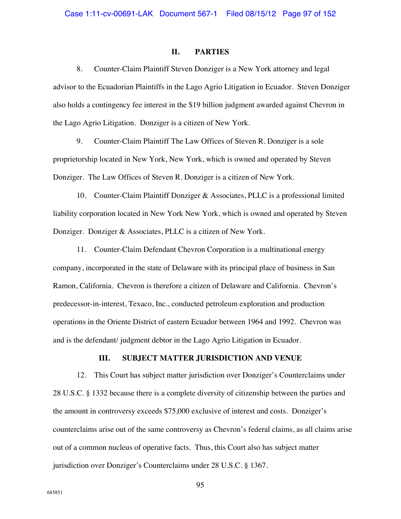## **II. PARTIES**

8. Counter-Claim Plaintiff Steven Donziger is a New York attorney and legal advisor to the Ecuadorian Plaintiffs in the Lago Agrio Litigation in Ecuador. Steven Donziger also holds a contingency fee interest in the \$19 billion judgment awarded against Chevron in the Lago Agrio Litigation. Donziger is a citizen of New York.

9. Counter-Claim Plaintiff The Law Offices of Steven R. Donziger is a sole proprietorship located in New York, New York, which is owned and operated by Steven Donziger. The Law Offices of Steven R. Donziger is a citizen of New York.

10. Counter-Claim Plaintiff Donziger & Associates, PLLC is a professional limited liability corporation located in New York New York, which is owned and operated by Steven Donziger. Donziger & Associates, PLLC is a citizen of New York.

11. Counter-Claim Defendant Chevron Corporation is a multinational energy company, incorporated in the state of Delaware with its principal place of business in San Ramon, California. Chevron is therefore a citizen of Delaware and California. Chevron's predecessor-in-interest, Texaco, Inc., conducted petroleum exploration and production operations in the Oriente District of eastern Ecuador between 1964 and 1992. Chevron was and is the defendant/ judgment debtor in the Lago Agrio Litigation in Ecuador.

### **III. SUBJECT MATTER JURISDICTION AND VENUE**

12. This Court has subject matter jurisdiction over Donziger's Counterclaims under 28 U.S.C. § 1332 because there is a complete diversity of citizenship between the parties and the amount in controversy exceeds \$75,000 exclusive of interest and costs. Donziger's counterclaims arise out of the same controversy as Chevron's federal claims, as all claims arise out of a common nucleus of operative facts. Thus, this Court also has subject matter jurisdiction over Donziger's Counterclaims under 28 U.S.C. § 1367.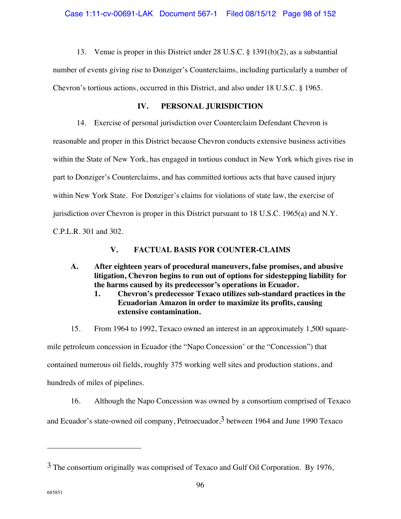13. Venue is proper in this District under 28 U.S.C. § 1391(b)(2), as a substantial

number of events giving rise to Donziger's Counterclaims, including particularly a number of Chevron's tortious actions, occurred in this District, and also under 18 U.S.C. § 1965.

# **IV. PERSONAL JURISDICTION**

14. Exercise of personal jurisdiction over Counterclaim Defendant Chevron is reasonable and proper in this District because Chevron conducts extensive business activities within the State of New York, has engaged in tortious conduct in New York which gives rise in part to Donziger's Counterclaims, and has committed tortious acts that have caused injury within New York State. For Donziger's claims for violations of state law, the exercise of jurisdiction over Chevron is proper in this District pursuant to 18 U.S.C. 1965(a) and N.Y. C.P.L.R. 301 and 302.

# **V. FACTUAL BASIS FOR COUNTER-CLAIMS**

- **A. After eighteen years of procedural maneuvers, false promises, and abusive litigation, Chevron begins to run out of options for sidestepping liability for the harms caused by its predecessor's operations in Ecuador.** 
	- **1. Chevron's predecessor Texaco utilizes sub-standard practices in the Ecuadorian Amazon in order to maximize its profits, causing extensive contamination.**
- 15. From 1964 to 1992, Texaco owned an interest in an approximately 1,500 square-

mile petroleum concession in Ecuador (the "Napo Concession' or the "Concession") that contained numerous oil fields, roughly 375 working well sites and production stations, and hundreds of miles of pipelines.

16. Although the Napo Concession was owned by a consortium comprised of Texaco

and Ecuador's state-owned oil company, Petroecuador,  $3$  between 1964 and June 1990 Texaco

<sup>3</sup> The consortium originally was comprised of Texaco and Gulf Oil Corporation. By 1976,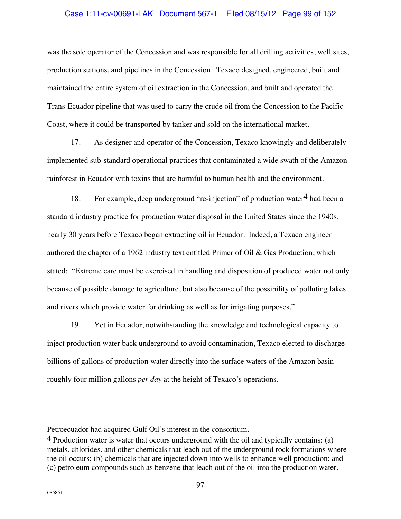## Case 1:11-cv-00691-LAK Document 567-1 Filed 08/15/12 Page 99 of 152

was the sole operator of the Concession and was responsible for all drilling activities, well sites, production stations, and pipelines in the Concession. Texaco designed, engineered, built and maintained the entire system of oil extraction in the Concession, and built and operated the Trans-Ecuador pipeline that was used to carry the crude oil from the Concession to the Pacific Coast, where it could be transported by tanker and sold on the international market.

17. As designer and operator of the Concession, Texaco knowingly and deliberately implemented sub-standard operational practices that contaminated a wide swath of the Amazon rainforest in Ecuador with toxins that are harmful to human health and the environment.

18. For example, deep underground "re-injection" of production water  $4$  had been a standard industry practice for production water disposal in the United States since the 1940s, nearly 30 years before Texaco began extracting oil in Ecuador. Indeed, a Texaco engineer authored the chapter of a 1962 industry text entitled Primer of Oil & Gas Production, which stated: "Extreme care must be exercised in handling and disposition of produced water not only because of possible damage to agriculture, but also because of the possibility of polluting lakes and rivers which provide water for drinking as well as for irrigating purposes."

19. Yet in Ecuador, notwithstanding the knowledge and technological capacity to inject production water back underground to avoid contamination, Texaco elected to discharge billions of gallons of production water directly into the surface waters of the Amazon basin roughly four million gallons *per day* at the height of Texaco's operations.

Petroecuador had acquired Gulf Oil's interest in the consortium.

<sup>4</sup> Production water is water that occurs underground with the oil and typically contains: (a) metals, chlorides, and other chemicals that leach out of the underground rock formations where the oil occurs; (b) chemicals that are injected down into wells to enhance well production; and (c) petroleum compounds such as benzene that leach out of the oil into the production water.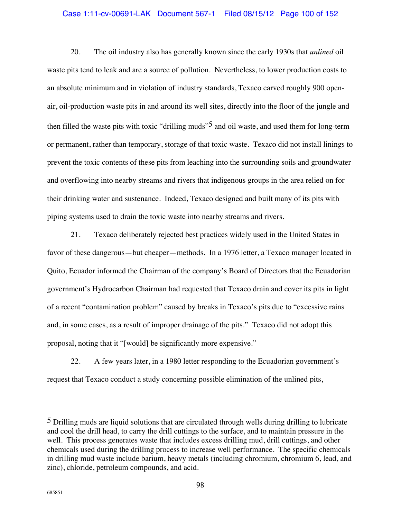# Case 1:11-cv-00691-LAK Document 567-1 Filed 08/15/12 Page 100 of 152

20. The oil industry also has generally known since the early 1930s that *unlined* oil waste pits tend to leak and are a source of pollution. Nevertheless, to lower production costs to an absolute minimum and in violation of industry standards, Texaco carved roughly 900 openair, oil-production waste pits in and around its well sites, directly into the floor of the jungle and then filled the waste pits with toxic "drilling muds"<sup>5</sup> and oil waste, and used them for long-term or permanent, rather than temporary, storage of that toxic waste. Texaco did not install linings to prevent the toxic contents of these pits from leaching into the surrounding soils and groundwater and overflowing into nearby streams and rivers that indigenous groups in the area relied on for their drinking water and sustenance. Indeed, Texaco designed and built many of its pits with piping systems used to drain the toxic waste into nearby streams and rivers.

21. Texaco deliberately rejected best practices widely used in the United States in favor of these dangerous—but cheaper—methods. In a 1976 letter, a Texaco manager located in Quito, Ecuador informed the Chairman of the company's Board of Directors that the Ecuadorian government's Hydrocarbon Chairman had requested that Texaco drain and cover its pits in light of a recent "contamination problem" caused by breaks in Texaco's pits due to "excessive rains and, in some cases, as a result of improper drainage of the pits." Texaco did not adopt this proposal, noting that it "[would] be significantly more expensive."

22. A few years later, in a 1980 letter responding to the Ecuadorian government's request that Texaco conduct a study concerning possible elimination of the unlined pits,

<sup>5</sup> Drilling muds are liquid solutions that are circulated through wells during drilling to lubricate and cool the drill head, to carry the drill cuttings to the surface, and to maintain pressure in the well. This process generates waste that includes excess drilling mud, drill cuttings, and other chemicals used during the drilling process to increase well performance. The specific chemicals in drilling mud waste include barium, heavy metals (including chromium, chromium 6, lead, and zinc), chloride, petroleum compounds, and acid.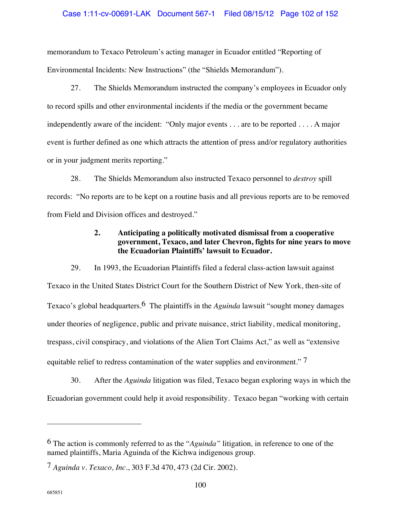## Case 1:11-cv-00691-LAK Document 567-1 Filed 08/15/12 Page 102 of 152

memorandum to Texaco Petroleum's acting manager in Ecuador entitled "Reporting of Environmental Incidents: New Instructions" (the "Shields Memorandum").

27. The Shields Memorandum instructed the company's employees in Ecuador only to record spills and other environmental incidents if the media or the government became independently aware of the incident: "Only major events . . . are to be reported . . . . A major event is further defined as one which attracts the attention of press and/or regulatory authorities or in your judgment merits reporting."

28. The Shields Memorandum also instructed Texaco personnel to *destroy* spill records: "No reports are to be kept on a routine basis and all previous reports are to be removed from Field and Division offices and destroyed."

# **2. Anticipating a politically motivated dismissal from a cooperative government, Texaco, and later Chevron, fights for nine years to move the Ecuadorian Plaintiffs' lawsuit to Ecuador.**

29. In 1993, the Ecuadorian Plaintiffs filed a federal class-action lawsuit against Texaco in the United States District Court for the Southern District of New York, then-site of Texaco's global headquarters.6 The plaintiffs in the *Aguinda* lawsuit "sought money damages under theories of negligence, public and private nuisance, strict liability, medical monitoring, trespass, civil conspiracy, and violations of the Alien Tort Claims Act," as well as "extensive equitable relief to redress contamination of the water supplies and environment."  $7$ 

30. After the *Aguinda* litigation was filed, Texaco began exploring ways in which the Ecuadorian government could help it avoid responsibility. Texaco began "working with certain

<sup>6</sup> The action is commonly referred to as the "*Aguinda"* litigation*,* in reference to one of the named plaintiffs, Maria Aguinda of the Kichwa indigenous group.

<sup>7</sup> *Aguinda v. Texaco, Inc.*, 303 F.3d 470, 473 (2d Cir. 2002).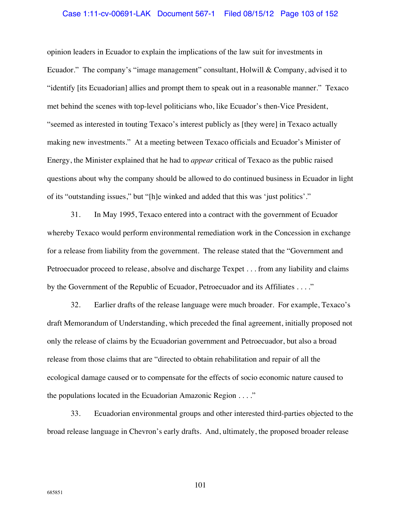### Case 1:11-cv-00691-LAK Document 567-1 Filed 08/15/12 Page 103 of 152

opinion leaders in Ecuador to explain the implications of the law suit for investments in Ecuador." The company's "image management" consultant, Holwill & Company, advised it to "identify [its Ecuadorian] allies and prompt them to speak out in a reasonable manner." Texaco met behind the scenes with top-level politicians who, like Ecuador's then-Vice President, "seemed as interested in touting Texaco's interest publicly as [they were] in Texaco actually making new investments." At a meeting between Texaco officials and Ecuador's Minister of Energy, the Minister explained that he had to *appear* critical of Texaco as the public raised questions about why the company should be allowed to do continued business in Ecuador in light of its "outstanding issues," but "[h]e winked and added that this was 'just politics'."

31. In May 1995, Texaco entered into a contract with the government of Ecuador whereby Texaco would perform environmental remediation work in the Concession in exchange for a release from liability from the government. The release stated that the "Government and Petroecuador proceed to release, absolve and discharge Texpet . . . from any liability and claims by the Government of the Republic of Ecuador, Petroecuador and its Affiliates . . . ."

32. Earlier drafts of the release language were much broader. For example, Texaco's draft Memorandum of Understanding, which preceded the final agreement, initially proposed not only the release of claims by the Ecuadorian government and Petroecuador, but also a broad release from those claims that are "directed to obtain rehabilitation and repair of all the ecological damage caused or to compensate for the effects of socio economic nature caused to the populations located in the Ecuadorian Amazonic Region . . . ."

33. Ecuadorian environmental groups and other interested third-parties objected to the broad release language in Chevron's early drafts. And, ultimately, the proposed broader release

685851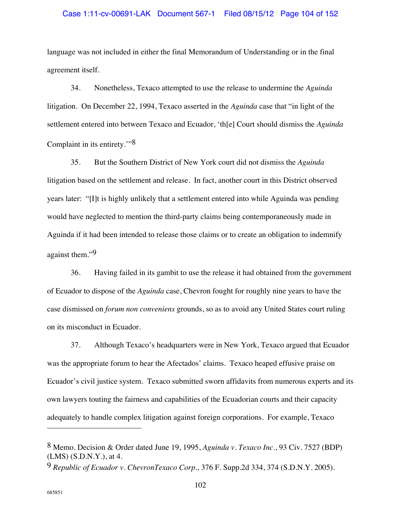### Case 1:11-cv-00691-LAK Document 567-1 Filed 08/15/12 Page 104 of 152

language was not included in either the final Memorandum of Understanding or in the final agreement itself.

34. Nonetheless, Texaco attempted to use the release to undermine the *Aguinda* litigation. On December 22, 1994, Texaco asserted in the *Aguinda* case that "in light of the settlement entered into between Texaco and Ecuador, 'th[e] Court should dismiss the *Aguinda* Complaint in its entirety.'"8

35. But the Southern District of New York court did not dismiss the *Aguinda* litigation based on the settlement and release. In fact, another court in this District observed years later: "[I]t is highly unlikely that a settlement entered into while Aguinda was pending would have neglected to mention the third-party claims being contemporaneously made in Aguinda if it had been intended to release those claims or to create an obligation to indemnify against them."9

36. Having failed in its gambit to use the release it had obtained from the government of Ecuador to dispose of the *Aguinda* case, Chevron fought for roughly nine years to have the case dismissed on *forum non conveniens* grounds, so as to avoid any United States court ruling on its misconduct in Ecuador.

37. Although Texaco's headquarters were in New York, Texaco argued that Ecuador was the appropriate forum to hear the Afectados' claims. Texaco heaped effusive praise on Ecuador's civil justice system. Texaco submitted sworn affidavits from numerous experts and its own lawyers touting the fairness and capabilities of the Ecuadorian courts and their capacity adequately to handle complex litigation against foreign corporations. For example, Texaco

<sup>8</sup> Memo. Decision & Order dated June 19, 1995, *Aguinda v. Texaco Inc.*, 93 Civ. 7527 (BDP) (LMS) (S.D.N.Y.), at 4.

<sup>9</sup> *Republic of Ecuador v. ChevronTexaco Corp.,* 376 F. Supp.2d 334, 374 (S.D.N.Y. 2005).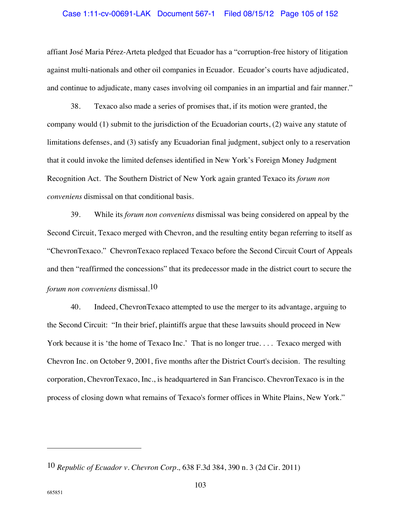### Case 1:11-cv-00691-LAK Document 567-1 Filed 08/15/12 Page 105 of 152

affiant José Maria Pérez-Arteta pledged that Ecuador has a "corruption-free history of litigation against multi-nationals and other oil companies in Ecuador. Ecuador's courts have adjudicated, and continue to adjudicate, many cases involving oil companies in an impartial and fair manner."

38. Texaco also made a series of promises that, if its motion were granted, the company would (1) submit to the jurisdiction of the Ecuadorian courts, (2) waive any statute of limitations defenses, and (3) satisfy any Ecuadorian final judgment, subject only to a reservation that it could invoke the limited defenses identified in New York's Foreign Money Judgment Recognition Act. The Southern District of New York again granted Texaco its *forum non conveniens* dismissal on that conditional basis.

39. While its *forum non conveniens* dismissal was being considered on appeal by the Second Circuit, Texaco merged with Chevron, and the resulting entity began referring to itself as "ChevronTexaco." ChevronTexaco replaced Texaco before the Second Circuit Court of Appeals and then "reaffirmed the concessions" that its predecessor made in the district court to secure the *forum non conveniens* dismissal.10

40. Indeed, ChevronTexaco attempted to use the merger to its advantage, arguing to the Second Circuit: "In their brief, plaintiffs argue that these lawsuits should proceed in New York because it is 'the home of Texaco Inc.' That is no longer true.... Texaco merged with Chevron Inc. on October 9, 2001, five months after the District Court's decision. The resulting corporation, ChevronTexaco, Inc., is headquartered in San Francisco. ChevronTexaco is in the process of closing down what remains of Texaco's former offices in White Plains, New York."

<sup>10</sup> *Republic of Ecuador v. Chevron Corp.,* 638 F.3d 384, 390 n. 3 (2d Cir. 2011)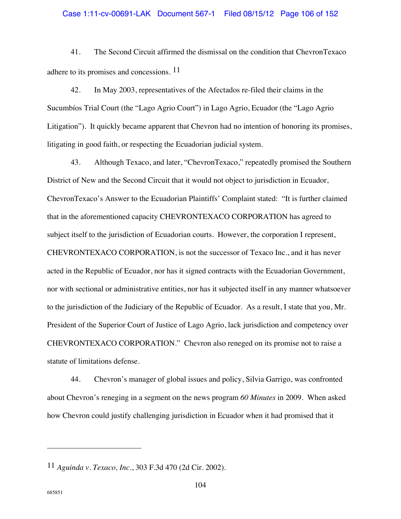### Case 1:11-cv-00691-LAK Document 567-1 Filed 08/15/12 Page 106 of 152

41. The Second Circuit affirmed the dismissal on the condition that ChevronTexaco adhere to its promises and concessions. 11

42. In May 2003, representatives of the Afectados re-filed their claims in the Sucumbíos Trial Court (the "Lago Agrio Court") in Lago Agrio, Ecuador (the "Lago Agrio Litigation"). It quickly became apparent that Chevron had no intention of honoring its promises, litigating in good faith, or respecting the Ecuadorian judicial system.

43. Although Texaco, and later, "ChevronTexaco," repeatedly promised the Southern District of New and the Second Circuit that it would not object to jurisdiction in Ecuador, ChevronTexaco's Answer to the Ecuadorian Plaintiffs' Complaint stated: "It is further claimed that in the aforementioned capacity CHEVRONTEXACO CORPORATION has agreed to subject itself to the jurisdiction of Ecuadorian courts. However, the corporation I represent, CHEVRONTEXACO CORPORATION, is not the successor of Texaco Inc., and it has never acted in the Republic of Ecuador, nor has it signed contracts with the Ecuadorian Government, nor with sectional or administrative entities, nor has it subjected itself in any manner whatsoever to the jurisdiction of the Judiciary of the Republic of Ecuador. As a result, I state that you, Mr. President of the Superior Court of Justice of Lago Agrio, lack jurisdiction and competency over CHEVRONTEXACO CORPORATION." Chevron also reneged on its promise not to raise a statute of limitations defense.

44. Chevron's manager of global issues and policy, Silvia Garrigo, was confronted about Chevron's reneging in a segment on the news program *60 Minutes* in 2009. When asked how Chevron could justify challenging jurisdiction in Ecuador when it had promised that it

<sup>11</sup> *Aguinda v. Texaco, Inc.*, 303 F.3d 470 (2d Cir. 2002).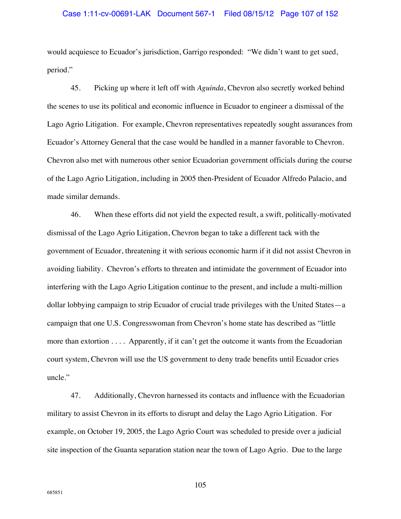would acquiesce to Ecuador's jurisdiction, Garrigo responded: "We didn't want to get sued, period."

45. Picking up where it left off with *Aguinda*, Chevron also secretly worked behind the scenes to use its political and economic influence in Ecuador to engineer a dismissal of the Lago Agrio Litigation. For example, Chevron representatives repeatedly sought assurances from Ecuador's Attorney General that the case would be handled in a manner favorable to Chevron. Chevron also met with numerous other senior Ecuadorian government officials during the course of the Lago Agrio Litigation, including in 2005 then-President of Ecuador Alfredo Palacio, and made similar demands.

46. When these efforts did not yield the expected result, a swift, politically-motivated dismissal of the Lago Agrio Litigation, Chevron began to take a different tack with the government of Ecuador, threatening it with serious economic harm if it did not assist Chevron in avoiding liability. Chevron's efforts to threaten and intimidate the government of Ecuador into interfering with the Lago Agrio Litigation continue to the present, and include a multi-million dollar lobbying campaign to strip Ecuador of crucial trade privileges with the United States—a campaign that one U.S. Congresswoman from Chevron's home state has described as "little more than extortion . . . . Apparently, if it can't get the outcome it wants from the Ecuadorian court system, Chevron will use the US government to deny trade benefits until Ecuador cries uncle."

47. Additionally, Chevron harnessed its contacts and influence with the Ecuadorian military to assist Chevron in its efforts to disrupt and delay the Lago Agrio Litigation. For example, on October 19, 2005, the Lago Agrio Court was scheduled to preside over a judicial site inspection of the Guanta separation station near the town of Lago Agrio. Due to the large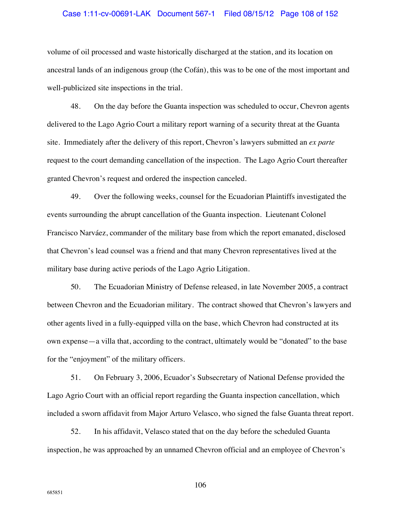### Case 1:11-cv-00691-LAK Document 567-1 Filed 08/15/12 Page 108 of 152

volume of oil processed and waste historically discharged at the station, and its location on ancestral lands of an indigenous group (the Cofán), this was to be one of the most important and well-publicized site inspections in the trial.

48. On the day before the Guanta inspection was scheduled to occur, Chevron agents delivered to the Lago Agrio Court a military report warning of a security threat at the Guanta site. Immediately after the delivery of this report, Chevron's lawyers submitted an *ex parte* request to the court demanding cancellation of the inspection. The Lago Agrio Court thereafter granted Chevron's request and ordered the inspection canceled.

49. Over the following weeks, counsel for the Ecuadorian Plaintiffs investigated the events surrounding the abrupt cancellation of the Guanta inspection. Lieutenant Colonel Francisco Narváez, commander of the military base from which the report emanated, disclosed that Chevron's lead counsel was a friend and that many Chevron representatives lived at the military base during active periods of the Lago Agrio Litigation.

50. The Ecuadorian Ministry of Defense released, in late November 2005, a contract between Chevron and the Ecuadorian military. The contract showed that Chevron's lawyers and other agents lived in a fully-equipped villa on the base, which Chevron had constructed at its own expense—a villa that, according to the contract, ultimately would be "donated" to the base for the "enjoyment" of the military officers.

51. On February 3, 2006, Ecuador's Subsecretary of National Defense provided the Lago Agrio Court with an official report regarding the Guanta inspection cancellation, which included a sworn affidavit from Major Arturo Velasco, who signed the false Guanta threat report.

52. In his affidavit, Velasco stated that on the day before the scheduled Guanta inspection, he was approached by an unnamed Chevron official and an employee of Chevron's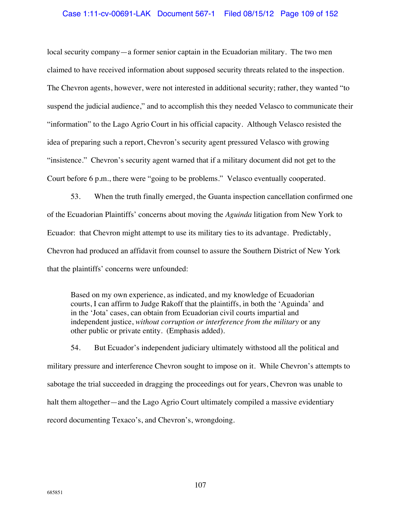# Case 1:11-cv-00691-LAK Document 567-1 Filed 08/15/12 Page 109 of 152

local security company—a former senior captain in the Ecuadorian military. The two men claimed to have received information about supposed security threats related to the inspection. The Chevron agents, however, were not interested in additional security; rather, they wanted "to suspend the judicial audience," and to accomplish this they needed Velasco to communicate their "information" to the Lago Agrio Court in his official capacity. Although Velasco resisted the idea of preparing such a report, Chevron's security agent pressured Velasco with growing "insistence." Chevron's security agent warned that if a military document did not get to the Court before 6 p.m., there were "going to be problems." Velasco eventually cooperated.

53. When the truth finally emerged, the Guanta inspection cancellation confirmed one of the Ecuadorian Plaintiffs' concerns about moving the *Aguinda* litigation from New York to Ecuador: that Chevron might attempt to use its military ties to its advantage. Predictably, Chevron had produced an affidavit from counsel to assure the Southern District of New York that the plaintiffs' concerns were unfounded:

Based on my own experience, as indicated, and my knowledge of Ecuadorian courts, I can affirm to Judge Rakoff that the plaintiffs, in both the 'Aguinda' and in the 'Jota' cases, can obtain from Ecuadorian civil courts impartial and independent justice, *without corruption or interference from the military* or any other public or private entity. (Emphasis added).

54. But Ecuador's independent judiciary ultimately withstood all the political and military pressure and interference Chevron sought to impose on it. While Chevron's attempts to sabotage the trial succeeded in dragging the proceedings out for years, Chevron was unable to halt them altogether—and the Lago Agrio Court ultimately compiled a massive evidentiary record documenting Texaco's, and Chevron's, wrongdoing.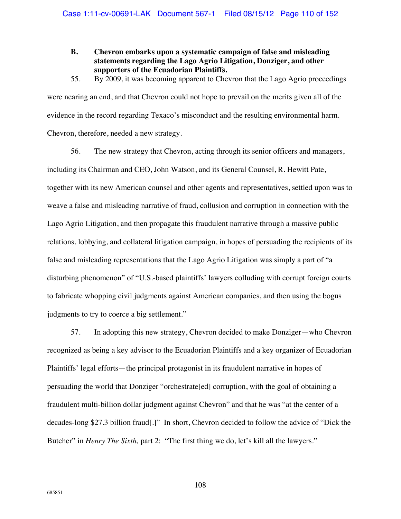- **B. Chevron embarks upon a systematic campaign of false and misleading statements regarding the Lago Agrio Litigation, Donziger, and other supporters of the Ecuadorian Plaintiffs.**
- 55. By 2009, it was becoming apparent to Chevron that the Lago Agrio proceedings

were nearing an end, and that Chevron could not hope to prevail on the merits given all of the evidence in the record regarding Texaco's misconduct and the resulting environmental harm. Chevron, therefore, needed a new strategy.

56. The new strategy that Chevron, acting through its senior officers and managers, including its Chairman and CEO, John Watson, and its General Counsel, R. Hewitt Pate, together with its new American counsel and other agents and representatives, settled upon was to weave a false and misleading narrative of fraud, collusion and corruption in connection with the Lago Agrio Litigation, and then propagate this fraudulent narrative through a massive public relations, lobbying, and collateral litigation campaign, in hopes of persuading the recipients of its false and misleading representations that the Lago Agrio Litigation was simply a part of "a disturbing phenomenon" of "U.S.-based plaintiffs' lawyers colluding with corrupt foreign courts to fabricate whopping civil judgments against American companies, and then using the bogus judgments to try to coerce a big settlement."

57. In adopting this new strategy, Chevron decided to make Donziger—who Chevron recognized as being a key advisor to the Ecuadorian Plaintiffs and a key organizer of Ecuadorian Plaintiffs' legal efforts—the principal protagonist in its fraudulent narrative in hopes of persuading the world that Donziger "orchestrate[ed] corruption, with the goal of obtaining a fraudulent multi-billion dollar judgment against Chevron" and that he was "at the center of a decades-long \$27.3 billion fraud[.]" In short, Chevron decided to follow the advice of "Dick the Butcher" in *Henry The Sixth*, part 2: "The first thing we do, let's kill all the lawyers."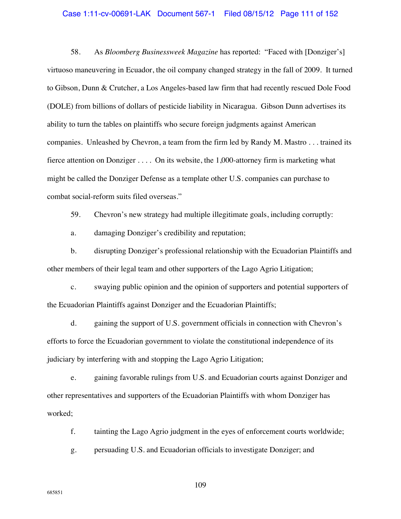### Case 1:11-cv-00691-LAK Document 567-1 Filed 08/15/12 Page 111 of 152

58. As *Bloomberg Businessweek Magazine* has reported: "Faced with [Donziger's] virtuoso maneuvering in Ecuador, the oil company changed strategy in the fall of 2009. It turned to Gibson, Dunn & Crutcher, a Los Angeles-based law firm that had recently rescued Dole Food (DOLE) from billions of dollars of pesticide liability in Nicaragua. Gibson Dunn advertises its ability to turn the tables on plaintiffs who secure foreign judgments against American companies. Unleashed by Chevron, a team from the firm led by Randy M. Mastro . . . trained its fierce attention on Donziger . . . . On its website, the 1,000-attorney firm is marketing what might be called the Donziger Defense as a template other U.S. companies can purchase to combat social-reform suits filed overseas."

59. Chevron's new strategy had multiple illegitimate goals, including corruptly:

a. damaging Donziger's credibility and reputation;

b. disrupting Donziger's professional relationship with the Ecuadorian Plaintiffs and other members of their legal team and other supporters of the Lago Agrio Litigation;

c. swaying public opinion and the opinion of supporters and potential supporters of the Ecuadorian Plaintiffs against Donziger and the Ecuadorian Plaintiffs;

d. gaining the support of U.S. government officials in connection with Chevron's efforts to force the Ecuadorian government to violate the constitutional independence of its judiciary by interfering with and stopping the Lago Agrio Litigation;

e. gaining favorable rulings from U.S. and Ecuadorian courts against Donziger and other representatives and supporters of the Ecuadorian Plaintiffs with whom Donziger has worked;

f. tainting the Lago Agrio judgment in the eyes of enforcement courts worldwide;

g. persuading U.S. and Ecuadorian officials to investigate Donziger; and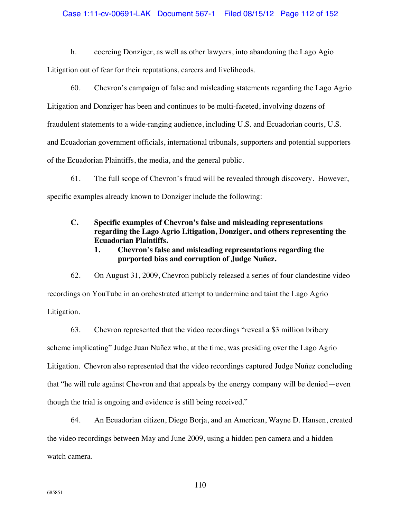## Case 1:11-cv-00691-LAK Document 567-1 Filed 08/15/12 Page 112 of 152

h. coercing Donziger, as well as other lawyers, into abandoning the Lago Agio

Litigation out of fear for their reputations, careers and livelihoods.

60. Chevron's campaign of false and misleading statements regarding the Lago Agrio Litigation and Donziger has been and continues to be multi-faceted, involving dozens of fraudulent statements to a wide-ranging audience, including U.S. and Ecuadorian courts, U.S. and Ecuadorian government officials, international tribunals, supporters and potential supporters of the Ecuadorian Plaintiffs, the media, and the general public.

61. The full scope of Chevron's fraud will be revealed through discovery. However, specific examples already known to Donziger include the following:

**C. Specific examples of Chevron's false and misleading representations regarding the Lago Agrio Litigation, Donziger, and others representing the Ecuadorian Plaintiffs.** 

# **1. Chevron's false and misleading representations regarding the purported bias and corruption of Judge Nuñez.**

62. On August 31, 2009, Chevron publicly released a series of four clandestine video recordings on YouTube in an orchestrated attempt to undermine and taint the Lago Agrio Litigation.

63. Chevron represented that the video recordings "reveal a \$3 million bribery scheme implicating" Judge Juan Nuñez who, at the time, was presiding over the Lago Agrio Litigation. Chevron also represented that the video recordings captured Judge Nuñez concluding that "he will rule against Chevron and that appeals by the energy company will be denied—even though the trial is ongoing and evidence is still being received."

64. An Ecuadorian citizen, Diego Borja, and an American, Wayne D. Hansen, created the video recordings between May and June 2009, using a hidden pen camera and a hidden watch camera.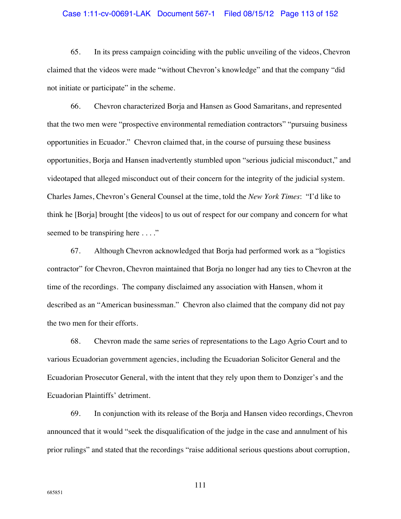### Case 1:11-cv-00691-LAK Document 567-1 Filed 08/15/12 Page 113 of 152

65. In its press campaign coinciding with the public unveiling of the videos, Chevron claimed that the videos were made "without Chevron's knowledge" and that the company "did not initiate or participate" in the scheme.

66. Chevron characterized Borja and Hansen as Good Samaritans, and represented that the two men were "prospective environmental remediation contractors" "pursuing business opportunities in Ecuador." Chevron claimed that, in the course of pursuing these business opportunities, Borja and Hansen inadvertently stumbled upon "serious judicial misconduct," and videotaped that alleged misconduct out of their concern for the integrity of the judicial system. Charles James, Chevron's General Counsel at the time, told the *New York Times*: "I'd like to think he [Borja] brought [the videos] to us out of respect for our company and concern for what seemed to be transpiring here . . . ."

67. Although Chevron acknowledged that Borja had performed work as a "logistics contractor" for Chevron, Chevron maintained that Borja no longer had any ties to Chevron at the time of the recordings. The company disclaimed any association with Hansen, whom it described as an "American businessman." Chevron also claimed that the company did not pay the two men for their efforts.

68. Chevron made the same series of representations to the Lago Agrio Court and to various Ecuadorian government agencies, including the Ecuadorian Solicitor General and the Ecuadorian Prosecutor General, with the intent that they rely upon them to Donziger's and the Ecuadorian Plaintiffs' detriment.

69. In conjunction with its release of the Borja and Hansen video recordings, Chevron announced that it would "seek the disqualification of the judge in the case and annulment of his prior rulings" and stated that the recordings "raise additional serious questions about corruption,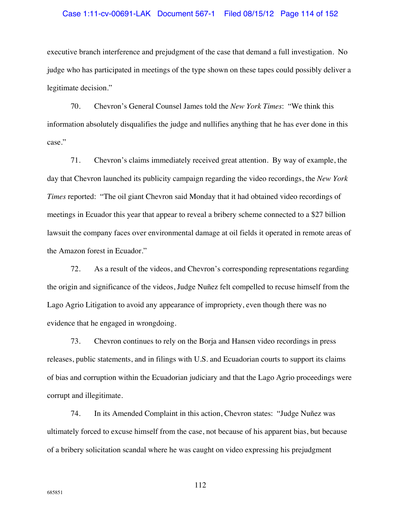### Case 1:11-cv-00691-LAK Document 567-1 Filed 08/15/12 Page 114 of 152

executive branch interference and prejudgment of the case that demand a full investigation. No judge who has participated in meetings of the type shown on these tapes could possibly deliver a legitimate decision."

70. Chevron's General Counsel James told the *New York Times*: "We think this information absolutely disqualifies the judge and nullifies anything that he has ever done in this case."

71. Chevron's claims immediately received great attention. By way of example, the day that Chevron launched its publicity campaign regarding the video recordings, the *New York Times* reported: "The oil giant Chevron said Monday that it had obtained video recordings of meetings in Ecuador this year that appear to reveal a bribery scheme connected to a \$27 billion lawsuit the company faces over environmental damage at oil fields it operated in remote areas of the Amazon forest in Ecuador."

72. As a result of the videos, and Chevron's corresponding representations regarding the origin and significance of the videos, Judge Nuñez felt compelled to recuse himself from the Lago Agrio Litigation to avoid any appearance of impropriety, even though there was no evidence that he engaged in wrongdoing.

73. Chevron continues to rely on the Borja and Hansen video recordings in press releases, public statements, and in filings with U.S. and Ecuadorian courts to support its claims of bias and corruption within the Ecuadorian judiciary and that the Lago Agrio proceedings were corrupt and illegitimate.

74. In its Amended Complaint in this action, Chevron states: "Judge Nuñez was ultimately forced to excuse himself from the case, not because of his apparent bias, but because of a bribery solicitation scandal where he was caught on video expressing his prejudgment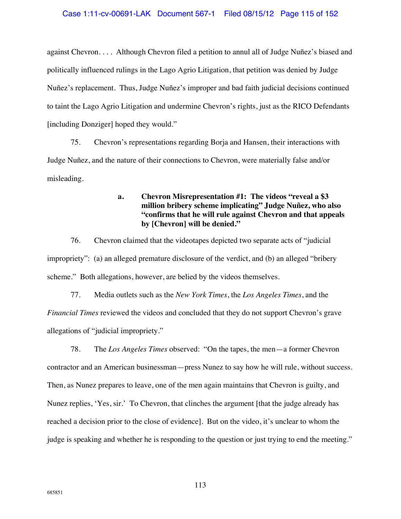against Chevron. . . . Although Chevron filed a petition to annul all of Judge Nuñez's biased and politically influenced rulings in the Lago Agrio Litigation, that petition was denied by Judge Nuñez's replacement. Thus, Judge Nuñez's improper and bad faith judicial decisions continued to taint the Lago Agrio Litigation and undermine Chevron's rights, just as the RICO Defendants [including Donziger] hoped they would."

75. Chevron's representations regarding Borja and Hansen, their interactions with Judge Nuñez, and the nature of their connections to Chevron, were materially false and/or misleading.

# **a. Chevron Misrepresentation #1: The videos "reveal a \$3 million bribery scheme implicating" Judge Nuñez, who also "confirms that he will rule against Chevron and that appeals by [Chevron] will be denied."**

76. Chevron claimed that the videotapes depicted two separate acts of "judicial impropriety": (a) an alleged premature disclosure of the verdict, and (b) an alleged "bribery scheme." Both allegations, however, are belied by the videos themselves.

77. Media outlets such as the *New York Times*, the *Los Angeles Times*, and the *Financial Times* reviewed the videos and concluded that they do not support Chevron's grave allegations of "judicial impropriety."

78. The *Los Angeles Times* observed: "On the tapes, the men—a former Chevron contractor and an American businessman—press Nunez to say how he will rule, without success. Then, as Nunez prepares to leave, one of the men again maintains that Chevron is guilty, and Nunez replies, 'Yes, sir.' To Chevron, that clinches the argument [that the judge already has reached a decision prior to the close of evidence]. But on the video, it's unclear to whom the judge is speaking and whether he is responding to the question or just trying to end the meeting."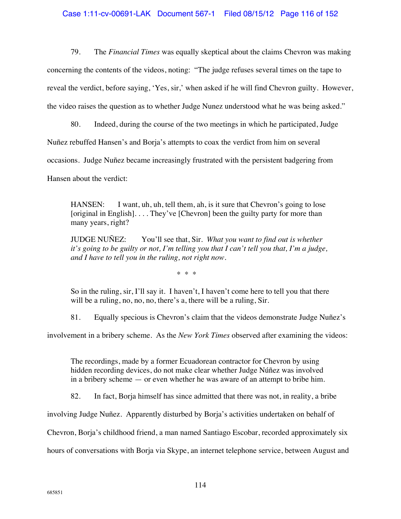# Case 1:11-cv-00691-LAK Document 567-1 Filed 08/15/12 Page 116 of 152

79. The *Financial Times* was equally skeptical about the claims Chevron was making concerning the contents of the videos, noting: "The judge refuses several times on the tape to reveal the verdict, before saying, 'Yes, sir,' when asked if he will find Chevron guilty. However, the video raises the question as to whether Judge Nunez understood what he was being asked."

80. Indeed, during the course of the two meetings in which he participated, Judge

Nuñez rebuffed Hansen's and Borja's attempts to coax the verdict from him on several

occasions. Judge Nuñez became increasingly frustrated with the persistent badgering from

Hansen about the verdict:

HANSEN: I want, uh, uh, tell them, ah, is it sure that Chevron's going to lose [original in English]. . . . They've [Chevron] been the guilty party for more than many years, right?

JUDGE NUÑEZ: You'll see that, Sir. *What you want to find out is whether it's going to be guilty or not, I'm telling you that I can't tell you that, I'm a judge, and I have to tell you in the ruling, not right now.*

\* \* \*

So in the ruling, sir, I'll say it. I haven't, I haven't come here to tell you that there will be a ruling, no, no, no, there's a, there will be a ruling, Sir.

81. Equally specious is Chevron's claim that the videos demonstrate Judge Nuñez's

involvement in a bribery scheme. As the *New York Times* observed after examining the videos:

The recordings, made by a former Ecuadorean contractor for Chevron by using hidden recording devices, do not make clear whether Judge Núñez was involved in a bribery scheme — or even whether he was aware of an attempt to bribe him.

82. In fact, Borja himself has since admitted that there was not, in reality, a bribe

involving Judge Nuñez. Apparently disturbed by Borja's activities undertaken on behalf of

Chevron, Borja's childhood friend, a man named Santiago Escobar, recorded approximately six

hours of conversations with Borja via Skype, an internet telephone service, between August and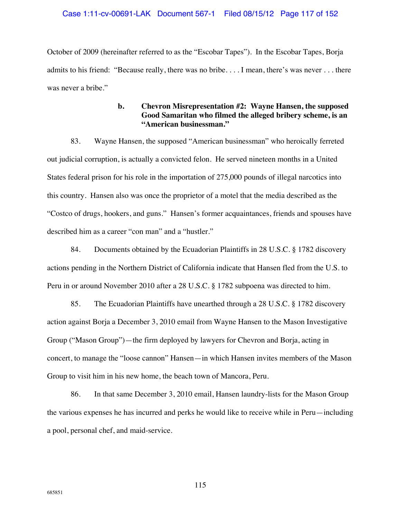October of 2009 (hereinafter referred to as the "Escobar Tapes"). In the Escobar Tapes, Borja admits to his friend: "Because really, there was no bribe. . . . I mean, there's was never . . . there was never a bribe."

# **b. Chevron Misrepresentation #2: Wayne Hansen, the supposed Good Samaritan who filmed the alleged bribery scheme, is an "American businessman."**

83. Wayne Hansen, the supposed "American businessman" who heroically ferreted out judicial corruption, is actually a convicted felon. He served nineteen months in a United States federal prison for his role in the importation of 275,000 pounds of illegal narcotics into this country. Hansen also was once the proprietor of a motel that the media described as the "Costco of drugs, hookers, and guns." Hansen's former acquaintances, friends and spouses have described him as a career "con man" and a "hustler."

84. Documents obtained by the Ecuadorian Plaintiffs in 28 U.S.C. § 1782 discovery actions pending in the Northern District of California indicate that Hansen fled from the U.S. to Peru in or around November 2010 after a 28 U.S.C. § 1782 subpoena was directed to him.

85. The Ecuadorian Plaintiffs have unearthed through a 28 U.S.C. § 1782 discovery action against Borja a December 3, 2010 email from Wayne Hansen to the Mason Investigative Group ("Mason Group")—the firm deployed by lawyers for Chevron and Borja, acting in concert, to manage the "loose cannon" Hansen—in which Hansen invites members of the Mason Group to visit him in his new home, the beach town of Mancora, Peru.

86. In that same December 3, 2010 email, Hansen laundry-lists for the Mason Group the various expenses he has incurred and perks he would like to receive while in Peru—including a pool, personal chef, and maid-service.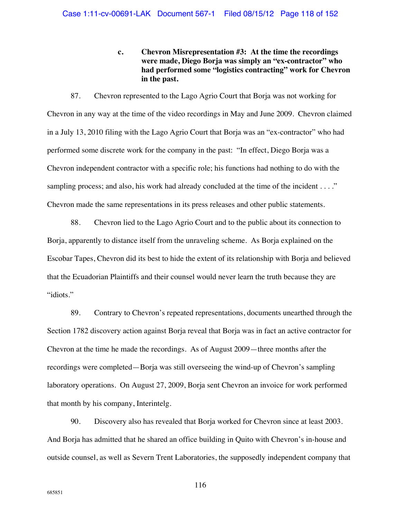**c. Chevron Misrepresentation #3: At the time the recordings were made, Diego Borja was simply an "ex-contractor" who had performed some "logistics contracting" work for Chevron in the past.** 

87. Chevron represented to the Lago Agrio Court that Borja was not working for Chevron in any way at the time of the video recordings in May and June 2009. Chevron claimed in a July 13, 2010 filing with the Lago Agrio Court that Borja was an "ex-contractor" who had performed some discrete work for the company in the past: "In effect, Diego Borja was a Chevron independent contractor with a specific role; his functions had nothing to do with the sampling process; and also, his work had already concluded at the time of the incident . . . ." Chevron made the same representations in its press releases and other public statements.

88. Chevron lied to the Lago Agrio Court and to the public about its connection to Borja, apparently to distance itself from the unraveling scheme. As Borja explained on the Escobar Tapes, Chevron did its best to hide the extent of its relationship with Borja and believed that the Ecuadorian Plaintiffs and their counsel would never learn the truth because they are "idiots."

89. Contrary to Chevron's repeated representations, documents unearthed through the Section 1782 discovery action against Borja reveal that Borja was in fact an active contractor for Chevron at the time he made the recordings. As of August 2009—three months after the recordings were completed—Borja was still overseeing the wind-up of Chevron's sampling laboratory operations. On August 27, 2009, Borja sent Chevron an invoice for work performed that month by his company, Interintelg.

90. Discovery also has revealed that Borja worked for Chevron since at least 2003. And Borja has admitted that he shared an office building in Quito with Chevron's in-house and outside counsel, as well as Severn Trent Laboratories, the supposedly independent company that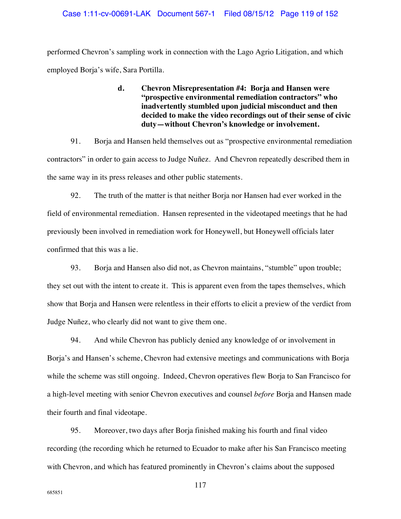performed Chevron's sampling work in connection with the Lago Agrio Litigation, and which employed Borja's wife, Sara Portilla.

# **d. Chevron Misrepresentation #4: Borja and Hansen were "prospective environmental remediation contractors" who inadvertently stumbled upon judicial misconduct and then decided to make the video recordings out of their sense of civic duty—without Chevron's knowledge or involvement.**

91. Borja and Hansen held themselves out as "prospective environmental remediation contractors" in order to gain access to Judge Nuñez. And Chevron repeatedly described them in the same way in its press releases and other public statements.

92. The truth of the matter is that neither Borja nor Hansen had ever worked in the field of environmental remediation. Hansen represented in the videotaped meetings that he had previously been involved in remediation work for Honeywell, but Honeywell officials later confirmed that this was a lie.

93. Borja and Hansen also did not, as Chevron maintains, "stumble" upon trouble; they set out with the intent to create it. This is apparent even from the tapes themselves, which show that Borja and Hansen were relentless in their efforts to elicit a preview of the verdict from Judge Nuñez, who clearly did not want to give them one.

94. And while Chevron has publicly denied any knowledge of or involvement in Borja's and Hansen's scheme, Chevron had extensive meetings and communications with Borja while the scheme was still ongoing. Indeed, Chevron operatives flew Borja to San Francisco for a high-level meeting with senior Chevron executives and counsel *before* Borja and Hansen made their fourth and final videotape.

95. Moreover, two days after Borja finished making his fourth and final video recording (the recording which he returned to Ecuador to make after his San Francisco meeting with Chevron, and which has featured prominently in Chevron's claims about the supposed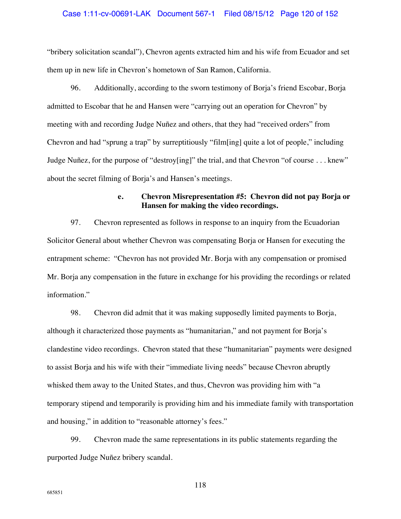### Case 1:11-cv-00691-LAK Document 567-1 Filed 08/15/12 Page 120 of 152

"bribery solicitation scandal"), Chevron agents extracted him and his wife from Ecuador and set them up in new life in Chevron's hometown of San Ramon, California.

96. Additionally, according to the sworn testimony of Borja's friend Escobar, Borja admitted to Escobar that he and Hansen were "carrying out an operation for Chevron" by meeting with and recording Judge Nuñez and others, that they had "received orders" from Chevron and had "sprung a trap" by surreptitiously "film[ing] quite a lot of people," including Judge Nuñez, for the purpose of "destroy[ing]" the trial, and that Chevron "of course . . . knew" about the secret filming of Borja's and Hansen's meetings.

# **e. Chevron Misrepresentation #5: Chevron did not pay Borja or Hansen for making the video recordings.**

97. Chevron represented as follows in response to an inquiry from the Ecuadorian Solicitor General about whether Chevron was compensating Borja or Hansen for executing the entrapment scheme: "Chevron has not provided Mr. Borja with any compensation or promised Mr. Borja any compensation in the future in exchange for his providing the recordings or related information."

98. Chevron did admit that it was making supposedly limited payments to Borja, although it characterized those payments as "humanitarian," and not payment for Borja's clandestine video recordings. Chevron stated that these "humanitarian" payments were designed to assist Borja and his wife with their "immediate living needs" because Chevron abruptly whisked them away to the United States, and thus, Chevron was providing him with "a temporary stipend and temporarily is providing him and his immediate family with transportation and housing," in addition to "reasonable attorney's fees."

99. Chevron made the same representations in its public statements regarding the purported Judge Nuñez bribery scandal.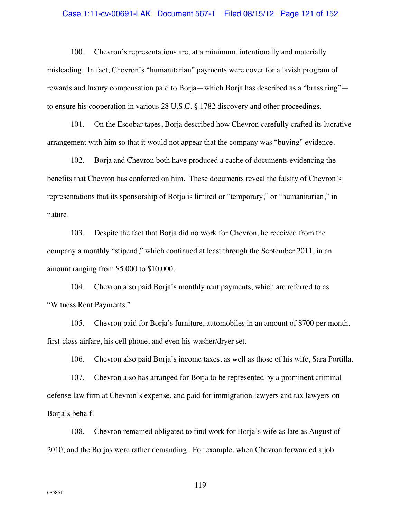### Case 1:11-cv-00691-LAK Document 567-1 Filed 08/15/12 Page 121 of 152

100. Chevron's representations are, at a minimum, intentionally and materially misleading. In fact, Chevron's "humanitarian" payments were cover for a lavish program of rewards and luxury compensation paid to Borja—which Borja has described as a "brass ring" to ensure his cooperation in various 28 U.S.C. § 1782 discovery and other proceedings.

101. On the Escobar tapes, Borja described how Chevron carefully crafted its lucrative arrangement with him so that it would not appear that the company was "buying" evidence.

102. Borja and Chevron both have produced a cache of documents evidencing the benefits that Chevron has conferred on him. These documents reveal the falsity of Chevron's representations that its sponsorship of Borja is limited or "temporary," or "humanitarian," in nature.

103. Despite the fact that Borja did no work for Chevron, he received from the company a monthly "stipend," which continued at least through the September 2011, in an amount ranging from \$5,000 to \$10,000.

104. Chevron also paid Borja's monthly rent payments, which are referred to as "Witness Rent Payments."

105. Chevron paid for Borja's furniture, automobiles in an amount of \$700 per month, first-class airfare, his cell phone, and even his washer/dryer set.

106. Chevron also paid Borja's income taxes, as well as those of his wife, Sara Portilla.

107. Chevron also has arranged for Borja to be represented by a prominent criminal defense law firm at Chevron's expense, and paid for immigration lawyers and tax lawyers on Borja's behalf.

108. Chevron remained obligated to find work for Borja's wife as late as August of 2010; and the Borjas were rather demanding. For example, when Chevron forwarded a job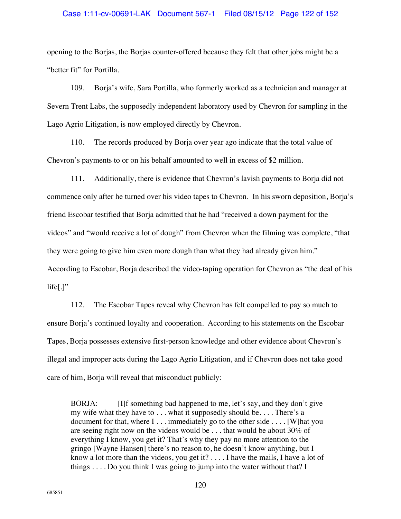## Case 1:11-cv-00691-LAK Document 567-1 Filed 08/15/12 Page 122 of 152

opening to the Borjas, the Borjas counter-offered because they felt that other jobs might be a "better fit" for Portilla.

109. Borja's wife, Sara Portilla, who formerly worked as a technician and manager at Severn Trent Labs, the supposedly independent laboratory used by Chevron for sampling in the Lago Agrio Litigation, is now employed directly by Chevron.

110. The records produced by Borja over year ago indicate that the total value of Chevron's payments to or on his behalf amounted to well in excess of \$2 million.

111. Additionally, there is evidence that Chevron's lavish payments to Borja did not commence only after he turned over his video tapes to Chevron. In his sworn deposition, Borja's friend Escobar testified that Borja admitted that he had "received a down payment for the videos" and "would receive a lot of dough" from Chevron when the filming was complete, "that they were going to give him even more dough than what they had already given him." According to Escobar, Borja described the video-taping operation for Chevron as "the deal of his  $lifel.]"$ 

112. The Escobar Tapes reveal why Chevron has felt compelled to pay so much to ensure Borja's continued loyalty and cooperation. According to his statements on the Escobar Tapes, Borja possesses extensive first-person knowledge and other evidence about Chevron's illegal and improper acts during the Lago Agrio Litigation, and if Chevron does not take good care of him, Borja will reveal that misconduct publicly:

BORJA: [I]f something bad happened to me, let's say, and they don't give my wife what they have to . . . what it supposedly should be. . . . There's a document for that, where I . . . immediately go to the other side . . . . [W]hat you are seeing right now on the videos would be . . . that would be about 30% of everything I know, you get it? That's why they pay no more attention to the gringo [Wayne Hansen] there's no reason to, he doesn't know anything, but I know a lot more than the videos, you get it? . . . . I have the mails, I have a lot of things . . . . Do you think I was going to jump into the water without that? I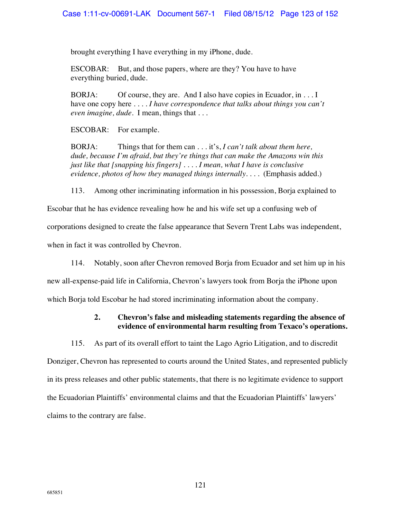brought everything I have everything in my iPhone, dude.

ESCOBAR: But, and those papers, where are they? You have to have everything buried, dude.

BORJA: Of course, they are. And I also have copies in Ecuador, in . . . I have one copy here . . . . *I have correspondence that talks about things you can't even imagine, dude*. I mean, things that . . .

ESCOBAR: For example.

BORJA: Things that for them can . . . it's, *I can't talk about them here, dude, because I'm afraid, but they're things that can make the Amazons win this just like that [snapping his fingers] . . . . I mean, what I have is conclusive evidence, photos of how they managed things internally*. . . . (Emphasis added.)

113. Among other incriminating information in his possession, Borja explained to

Escobar that he has evidence revealing how he and his wife set up a confusing web of corporations designed to create the false appearance that Severn Trent Labs was independent, when in fact it was controlled by Chevron.

114. Notably, soon after Chevron removed Borja from Ecuador and set him up in his new all-expense-paid life in California, Chevron's lawyers took from Borja the iPhone upon which Borja told Escobar he had stored incriminating information about the company.

# **2. Chevron's false and misleading statements regarding the absence of evidence of environmental harm resulting from Texaco's operations.**

115. As part of its overall effort to taint the Lago Agrio Litigation, and to discredit

Donziger, Chevron has represented to courts around the United States, and represented publicly in its press releases and other public statements, that there is no legitimate evidence to support the Ecuadorian Plaintiffs' environmental claims and that the Ecuadorian Plaintiffs' lawyers' claims to the contrary are false.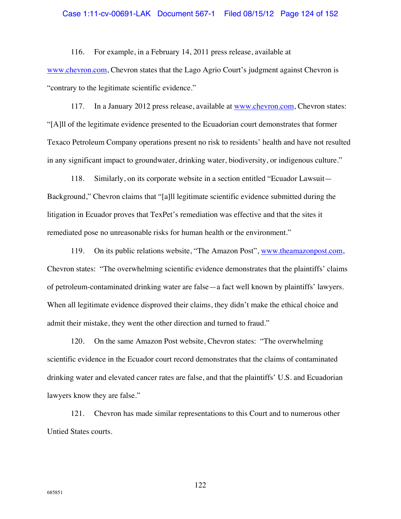### Case 1:11-cv-00691-LAK Document 567-1 Filed 08/15/12 Page 124 of 152

116. For example, in a February 14, 2011 press release, available at www.chevron.com, Chevron states that the Lago Agrio Court's judgment against Chevron is "contrary to the legitimate scientific evidence."

117. In a January 2012 press release, available at www.chevron.com, Chevron states: "[A]ll of the legitimate evidence presented to the Ecuadorian court demonstrates that former Texaco Petroleum Company operations present no risk to residents' health and have not resulted in any significant impact to groundwater, drinking water, biodiversity, or indigenous culture."

118. Similarly, on its corporate website in a section entitled "Ecuador Lawsuit— Background," Chevron claims that "[a]ll legitimate scientific evidence submitted during the litigation in Ecuador proves that TexPet's remediation was effective and that the sites it remediated pose no unreasonable risks for human health or the environment."

119. On its public relations website, "The Amazon Post", www.theamazonpost.com, Chevron states: "The overwhelming scientific evidence demonstrates that the plaintiffs' claims of petroleum-contaminated drinking water are false—a fact well known by plaintiffs' lawyers. When all legitimate evidence disproved their claims, they didn't make the ethical choice and admit their mistake, they went the other direction and turned to fraud."

120. On the same Amazon Post website, Chevron states: "The overwhelming scientific evidence in the Ecuador court record demonstrates that the claims of contaminated drinking water and elevated cancer rates are false, and that the plaintiffs' U.S. and Ecuadorian lawyers know they are false."

121. Chevron has made similar representations to this Court and to numerous other Untied States courts.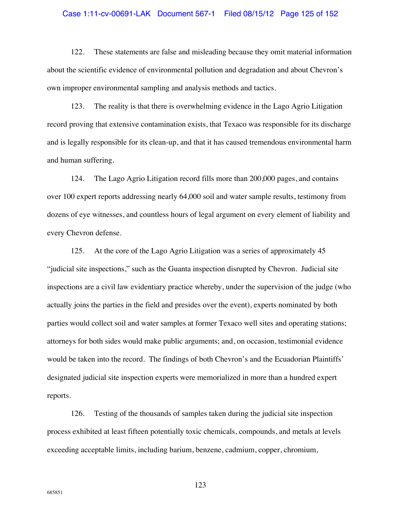### Case 1:11-cv-00691-LAK Document 567-1 Filed 08/15/12 Page 125 of 152

122. These statements are false and misleading because they omit material information about the scientific evidence of environmental pollution and degradation and about Chevron's own improper environmental sampling and analysis methods and tactics.

123. The reality is that there is overwhelming evidence in the Lago Agrio Litigation record proving that extensive contamination exists, that Texaco was responsible for its discharge and is legally responsible for its clean-up, and that it has caused tremendous environmental harm and human suffering.

124. The Lago Agrio Litigation record fills more than 200,000 pages, and contains over 100 expert reports addressing nearly 64,000 soil and water sample results, testimony from dozens of eye witnesses, and countless hours of legal argument on every element of liability and every Chevron defense.

125. At the core of the Lago Agrio Litigation was a series of approximately 45 "judicial site inspections," such as the Guanta inspection disrupted by Chevron. Judicial site inspections are a civil law evidentiary practice whereby, under the supervision of the judge (who actually joins the parties in the field and presides over the event), experts nominated by both parties would collect soil and water samples at former Texaco well sites and operating stations; attorneys for both sides would make public arguments; and, on occasion, testimonial evidence would be taken into the record. The findings of both Chevron's and the Ecuadorian Plaintiffs' designated judicial site inspection experts were memorialized in more than a hundred expert reports.

126. Testing of the thousands of samples taken during the judicial site inspection process exhibited at least fifteen potentially toxic chemicals, compounds, and metals at levels exceeding acceptable limits, including barium, benzene, cadmium, copper, chromium,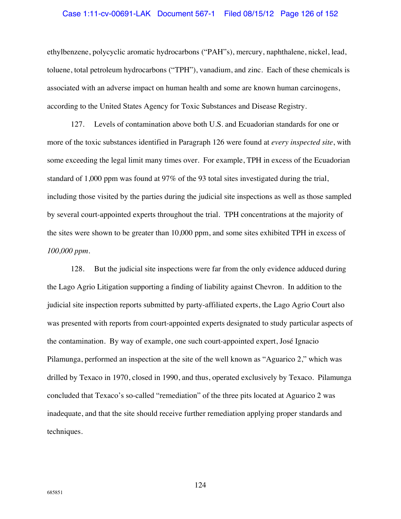#### Case 1:11-cv-00691-LAK Document 567-1 Filed 08/15/12 Page 126 of 152

ethylbenzene, polycyclic aromatic hydrocarbons ("PAH"s), mercury, naphthalene, nickel, lead, toluene, total petroleum hydrocarbons ("TPH"), vanadium, and zinc. Each of these chemicals is associated with an adverse impact on human health and some are known human carcinogens, according to the United States Agency for Toxic Substances and Disease Registry.

127. Levels of contamination above both U.S. and Ecuadorian standards for one or more of the toxic substances identified in Paragraph 126 were found at *every inspected site*, with some exceeding the legal limit many times over. For example, TPH in excess of the Ecuadorian standard of 1,000 ppm was found at 97% of the 93 total sites investigated during the trial, including those visited by the parties during the judicial site inspections as well as those sampled by several court-appointed experts throughout the trial. TPH concentrations at the majority of the sites were shown to be greater than 10,000 ppm, and some sites exhibited TPH in excess of *100,000 ppm*.

128. But the judicial site inspections were far from the only evidence adduced during the Lago Agrio Litigation supporting a finding of liability against Chevron. In addition to the judicial site inspection reports submitted by party-affiliated experts, the Lago Agrio Court also was presented with reports from court-appointed experts designated to study particular aspects of the contamination. By way of example, one such court-appointed expert, José Ignacio Pilamunga, performed an inspection at the site of the well known as "Aguarico 2," which was drilled by Texaco in 1970, closed in 1990, and thus, operated exclusively by Texaco. Pilamunga concluded that Texaco's so-called "remediation" of the three pits located at Aguarico 2 was inadequate, and that the site should receive further remediation applying proper standards and techniques.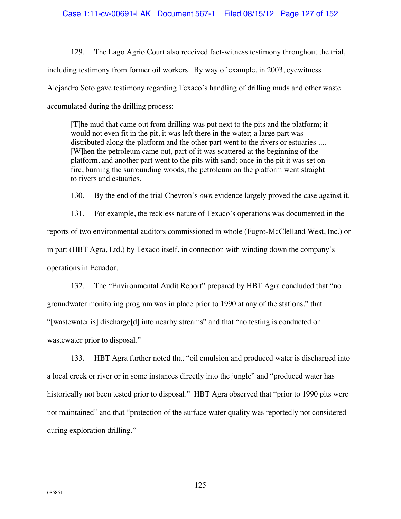129. The Lago Agrio Court also received fact-witness testimony throughout the trial, including testimony from former oil workers. By way of example, in 2003, eyewitness Alejandro Soto gave testimony regarding Texaco's handling of drilling muds and other waste accumulated during the drilling process:

[T]he mud that came out from drilling was put next to the pits and the platform; it would not even fit in the pit, it was left there in the water; a large part was distributed along the platform and the other part went to the rivers or estuaries .... [W]hen the petroleum came out, part of it was scattered at the beginning of the platform, and another part went to the pits with sand; once in the pit it was set on fire, burning the surrounding woods; the petroleum on the platform went straight to rivers and estuaries.

130. By the end of the trial Chevron's *own* evidence largely proved the case against it.

131. For example, the reckless nature of Texaco's operations was documented in the reports of two environmental auditors commissioned in whole (Fugro-McClelland West, Inc.) or in part (HBT Agra, Ltd.) by Texaco itself, in connection with winding down the company's operations in Ecuador.

132. The "Environmental Audit Report" prepared by HBT Agra concluded that "no groundwater monitoring program was in place prior to 1990 at any of the stations," that "[wastewater is] discharge[d] into nearby streams" and that "no testing is conducted on wastewater prior to disposal."

133. HBT Agra further noted that "oil emulsion and produced water is discharged into a local creek or river or in some instances directly into the jungle" and "produced water has historically not been tested prior to disposal." HBT Agra observed that "prior to 1990 pits were not maintained" and that "protection of the surface water quality was reportedly not considered during exploration drilling."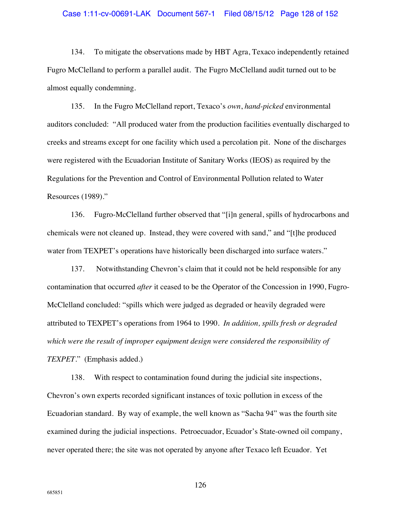### Case 1:11-cv-00691-LAK Document 567-1 Filed 08/15/12 Page 128 of 152

134. To mitigate the observations made by HBT Agra, Texaco independently retained Fugro McClelland to perform a parallel audit. The Fugro McClelland audit turned out to be almost equally condemning.

135. In the Fugro McClelland report, Texaco's *own*, *hand-picked* environmental auditors concluded: "All produced water from the production facilities eventually discharged to creeks and streams except for one facility which used a percolation pit. None of the discharges were registered with the Ecuadorian Institute of Sanitary Works (IEOS) as required by the Regulations for the Prevention and Control of Environmental Pollution related to Water Resources (1989)."

136. Fugro-McClelland further observed that "[i]n general, spills of hydrocarbons and chemicals were not cleaned up. Instead, they were covered with sand," and "[t]he produced water from TEXPET's operations have historically been discharged into surface waters."

137. Notwithstanding Chevron's claim that it could not be held responsible for any contamination that occurred *after* it ceased to be the Operator of the Concession in 1990, Fugro-McClelland concluded: "spills which were judged as degraded or heavily degraded were attributed to TEXPET's operations from 1964 to 1990. *In addition, spills fresh or degraded which were the result of improper equipment design were considered the responsibility of TEXPET*." (Emphasis added.)

138. With respect to contamination found during the judicial site inspections, Chevron's own experts recorded significant instances of toxic pollution in excess of the Ecuadorian standard. By way of example, the well known as "Sacha 94" was the fourth site examined during the judicial inspections. Petroecuador, Ecuador's State-owned oil company, never operated there; the site was not operated by anyone after Texaco left Ecuador. Yet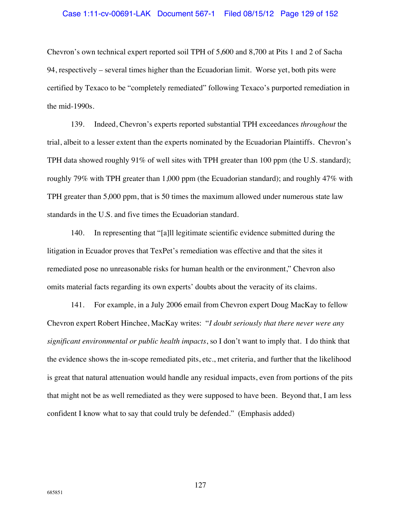### Case 1:11-cv-00691-LAK Document 567-1 Filed 08/15/12 Page 129 of 152

Chevron's own technical expert reported soil TPH of 5,600 and 8,700 at Pits 1 and 2 of Sacha 94, respectively – several times higher than the Ecuadorian limit. Worse yet, both pits were certified by Texaco to be "completely remediated" following Texaco's purported remediation in the mid-1990s.

139. Indeed, Chevron's experts reported substantial TPH exceedances *throughout* the trial, albeit to a lesser extent than the experts nominated by the Ecuadorian Plaintiffs. Chevron's TPH data showed roughly 91% of well sites with TPH greater than 100 ppm (the U.S. standard); roughly 79% with TPH greater than 1,000 ppm (the Ecuadorian standard); and roughly 47% with TPH greater than 5,000 ppm, that is 50 times the maximum allowed under numerous state law standards in the U.S. and five times the Ecuadorian standard.

140. In representing that "[a]ll legitimate scientific evidence submitted during the litigation in Ecuador proves that TexPet's remediation was effective and that the sites it remediated pose no unreasonable risks for human health or the environment," Chevron also omits material facts regarding its own experts' doubts about the veracity of its claims.

141. For example, in a July 2006 email from Chevron expert Doug MacKay to fellow Chevron expert Robert Hinchee, MacKay writes: "*I doubt seriously that there never were any significant environmental or public health impacts*, so I don't want to imply that. I do think that the evidence shows the in-scope remediated pits, etc., met criteria, and further that the likelihood is great that natural attenuation would handle any residual impacts, even from portions of the pits that might not be as well remediated as they were supposed to have been. Beyond that, I am less confident I know what to say that could truly be defended." (Emphasis added)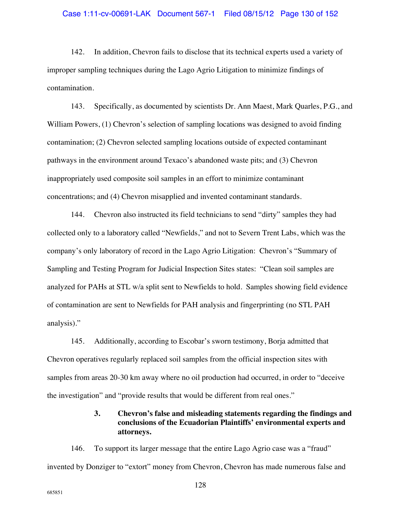142. In addition, Chevron fails to disclose that its technical experts used a variety of improper sampling techniques during the Lago Agrio Litigation to minimize findings of contamination.

143. Specifically, as documented by scientists Dr. Ann Maest, Mark Quarles, P.G., and William Powers, (1) Chevron's selection of sampling locations was designed to avoid finding contamination; (2) Chevron selected sampling locations outside of expected contaminant pathways in the environment around Texaco's abandoned waste pits; and (3) Chevron inappropriately used composite soil samples in an effort to minimize contaminant concentrations; and (4) Chevron misapplied and invented contaminant standards.

144. Chevron also instructed its field technicians to send "dirty" samples they had collected only to a laboratory called "Newfields," and not to Severn Trent Labs, which was the company's only laboratory of record in the Lago Agrio Litigation: Chevron's "Summary of Sampling and Testing Program for Judicial Inspection Sites states: "Clean soil samples are analyzed for PAHs at STL w/a split sent to Newfields to hold. Samples showing field evidence of contamination are sent to Newfields for PAH analysis and fingerprinting (no STL PAH analysis)."

145. Additionally, according to Escobar's sworn testimony, Borja admitted that Chevron operatives regularly replaced soil samples from the official inspection sites with samples from areas 20-30 km away where no oil production had occurred, in order to "deceive the investigation" and "provide results that would be different from real ones."

# **3. Chevron's false and misleading statements regarding the findings and conclusions of the Ecuadorian Plaintiffs' environmental experts and attorneys.**

146. To support its larger message that the entire Lago Agrio case was a "fraud" invented by Donziger to "extort" money from Chevron, Chevron has made numerous false and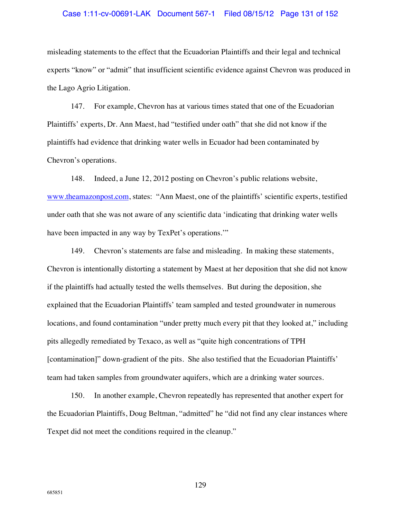### Case 1:11-cv-00691-LAK Document 567-1 Filed 08/15/12 Page 131 of 152

misleading statements to the effect that the Ecuadorian Plaintiffs and their legal and technical experts "know" or "admit" that insufficient scientific evidence against Chevron was produced in the Lago Agrio Litigation.

147. For example, Chevron has at various times stated that one of the Ecuadorian Plaintiffs' experts, Dr. Ann Maest, had "testified under oath" that she did not know if the plaintiffs had evidence that drinking water wells in Ecuador had been contaminated by Chevron's operations.

148. Indeed, a June 12, 2012 posting on Chevron's public relations website, www.theamazonpost.com, states: "Ann Maest, one of the plaintiffs' scientific experts, testified under oath that she was not aware of any scientific data 'indicating that drinking water wells have been impacted in any way by TexPet's operations."

149. Chevron's statements are false and misleading. In making these statements, Chevron is intentionally distorting a statement by Maest at her deposition that she did not know if the plaintiffs had actually tested the wells themselves. But during the deposition, she explained that the Ecuadorian Plaintiffs' team sampled and tested groundwater in numerous locations, and found contamination "under pretty much every pit that they looked at," including pits allegedly remediated by Texaco, as well as "quite high concentrations of TPH [contamination]" down-gradient of the pits. She also testified that the Ecuadorian Plaintiffs' team had taken samples from groundwater aquifers, which are a drinking water sources.

150. In another example, Chevron repeatedly has represented that another expert for the Ecuadorian Plaintiffs, Doug Beltman, "admitted" he "did not find any clear instances where Texpet did not meet the conditions required in the cleanup."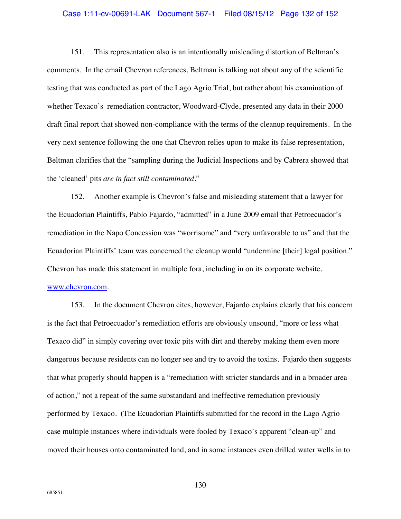### Case 1:11-cv-00691-LAK Document 567-1 Filed 08/15/12 Page 132 of 152

151. This representation also is an intentionally misleading distortion of Beltman's comments. In the email Chevron references, Beltman is talking not about any of the scientific testing that was conducted as part of the Lago Agrio Trial, but rather about his examination of whether Texaco's remediation contractor, Woodward-Clyde, presented any data in their 2000 draft final report that showed non-compliance with the terms of the cleanup requirements. In the very next sentence following the one that Chevron relies upon to make its false representation, Beltman clarifies that the "sampling during the Judicial Inspections and by Cabrera showed that the 'cleaned' pits *are in fact still contaminated*."

152. Another example is Chevron's false and misleading statement that a lawyer for the Ecuadorian Plaintiffs, Pablo Fajardo, "admitted" in a June 2009 email that Petroecuador's remediation in the Napo Concession was "worrisome" and "very unfavorable to us" and that the Ecuadorian Plaintiffs' team was concerned the cleanup would "undermine [their] legal position." Chevron has made this statement in multiple fora, including in on its corporate website,

153. In the document Chevron cites, however, Fajardo explains clearly that his concern is the fact that Petroecuador's remediation efforts are obviously unsound, "more or less what Texaco did" in simply covering over toxic pits with dirt and thereby making them even more dangerous because residents can no longer see and try to avoid the toxins. Fajardo then suggests that what properly should happen is a "remediation with stricter standards and in a broader area of action," not a repeat of the same substandard and ineffective remediation previously performed by Texaco. (The Ecuadorian Plaintiffs submitted for the record in the Lago Agrio

#### www.chevron.com.

moved their houses onto contaminated land, and in some instances even drilled water wells in to

case multiple instances where individuals were fooled by Texaco's apparent "clean-up" and

685851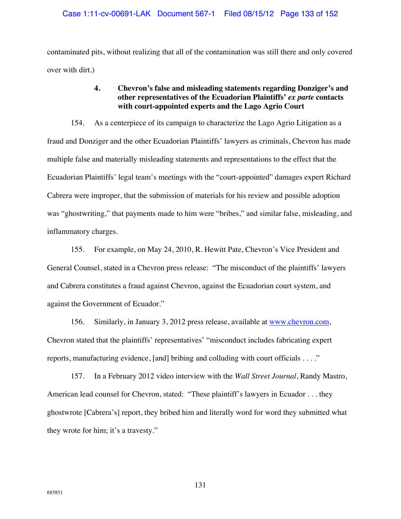contaminated pits, without realizing that all of the contamination was still there and only covered over with dirt.)

# **4. Chevron's false and misleading statements regarding Donziger's and other representatives of the Ecuadorian Plaintiffs'** *ex parte* **contacts with court-appointed experts and the Lago Agrio Court**

154. As a centerpiece of its campaign to characterize the Lago Agrio Litigation as a fraud and Donziger and the other Ecuadorian Plaintiffs' lawyers as criminals, Chevron has made multiple false and materially misleading statements and representations to the effect that the Ecuadorian Plaintiffs' legal team's meetings with the "court-appointed" damages expert Richard Cabrera were improper, that the submission of materials for his review and possible adoption was "ghostwriting," that payments made to him were "bribes," and similar false, misleading, and inflammatory charges.

155. For example, on May 24, 2010, R. Hewitt Pate, Chevron's Vice President and General Counsel, stated in a Chevron press release: "The misconduct of the plaintiffs' lawyers and Cabrera constitutes a fraud against Chevron, against the Ecuadorian court system, and against the Government of Ecuador."

156. Similarly, in January 3, 2012 press release, available at www.chevron.com, Chevron stated that the plaintiffs' representatives' "misconduct includes fabricating expert reports, manufacturing evidence, [and] bribing and colluding with court officials . . . ."

157. In a February 2012 video interview with the *Wall Street Journal*, Randy Mastro, American lead counsel for Chevron, stated: "These plaintiff's lawyers in Ecuador . . . they ghostwrote [Cabrera's] report, they bribed him and literally word for word they submitted what they wrote for him; it's a travesty."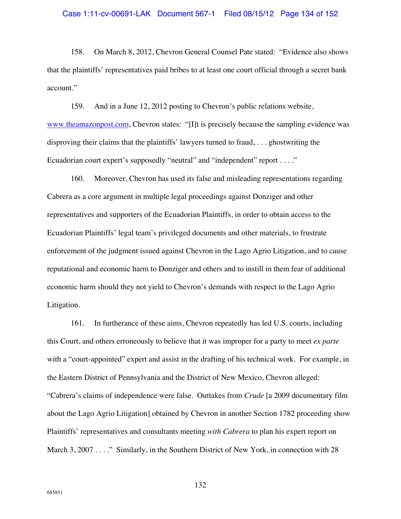158. On March 8, 2012, Chevron General Counsel Pate stated: "Evidence also shows that the plaintiffs' representatives paid bribes to at least one court official through a secret bank account."

159. And in a June 12, 2012 posting to Chevron's public relations website, www.theamazonpost.com, Chevron states: "[I]t is precisely because the sampling evidence was disproving their claims that the plaintiffs' lawyers turned to fraud, . . . ghostwriting the Ecuadorian court expert's supposedly "neutral" and "independent" report . . . ."

160. Moreover, Chevron has used its false and misleading representations regarding Cabrera as a core argument in multiple legal proceedings against Donziger and other representatives and supporters of the Ecuadorian Plaintiffs, in order to obtain access to the Ecuadorian Plaintiffs' legal team's privileged documents and other materials, to frustrate enforcement of the judgment issued against Chevron in the Lago Agrio Litigation, and to cause reputational and economic harm to Donziger and others and to instill in them fear of additional economic harm should they not yield to Chevron's demands with respect to the Lago Agrio Litigation.

161. In furtherance of these aims, Chevron repeatedly has led U.S. courts, including this Court, and others erroneously to believe that it was improper for a party to meet *ex parte* with a "court-appointed" expert and assist in the drafting of his technical work. For example, in the Eastern District of Pennsylvania and the District of New Mexico, Chevron alleged: "Cabrera's claims of independence were false. Outtakes from *Crude* [a 2009 documentary film about the Lago Agrio Litigation] obtained by Chevron in another Section 1782 proceeding show Plaintiffs' representatives and consultants meeting *with Cabrera* to plan his expert report on March 3, 2007 . . . . " Similarly, in the Southern District of New York, in connection with 28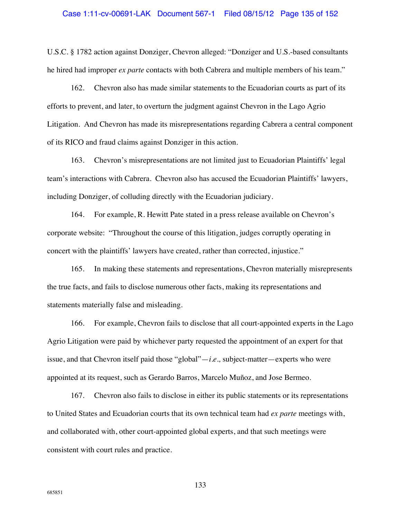### Case 1:11-cv-00691-LAK Document 567-1 Filed 08/15/12 Page 135 of 152

U.S.C. § 1782 action against Donziger, Chevron alleged: "Donziger and U.S.-based consultants he hired had improper *ex parte* contacts with both Cabrera and multiple members of his team."

162. Chevron also has made similar statements to the Ecuadorian courts as part of its efforts to prevent, and later, to overturn the judgment against Chevron in the Lago Agrio Litigation. And Chevron has made its misrepresentations regarding Cabrera a central component of its RICO and fraud claims against Donziger in this action.

163. Chevron's misrepresentations are not limited just to Ecuadorian Plaintiffs' legal team's interactions with Cabrera. Chevron also has accused the Ecuadorian Plaintiffs' lawyers, including Donziger, of colluding directly with the Ecuadorian judiciary.

164. For example, R. Hewitt Pate stated in a press release available on Chevron's corporate website: "Throughout the course of this litigation, judges corruptly operating in concert with the plaintiffs' lawyers have created, rather than corrected, injustice."

165. In making these statements and representations, Chevron materially misrepresents the true facts, and fails to disclose numerous other facts, making its representations and statements materially false and misleading.

166. For example, Chevron fails to disclose that all court-appointed experts in the Lago Agrio Litigation were paid by whichever party requested the appointment of an expert for that issue, and that Chevron itself paid those "global"—*i.e.,* subject-matter—experts who were appointed at its request, such as Gerardo Barros, Marcelo Muñoz, and Jose Bermeo.

167. Chevron also fails to disclose in either its public statements or its representations to United States and Ecuadorian courts that its own technical team had *ex parte* meetings with, and collaborated with, other court-appointed global experts, and that such meetings were consistent with court rules and practice.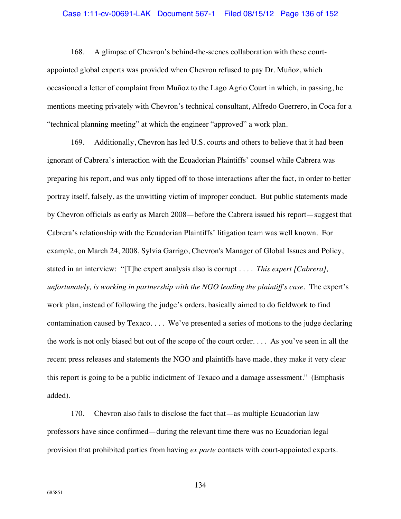### Case 1:11-cv-00691-LAK Document 567-1 Filed 08/15/12 Page 136 of 152

168. A glimpse of Chevron's behind-the-scenes collaboration with these courtappointed global experts was provided when Chevron refused to pay Dr. Muñoz, which occasioned a letter of complaint from Muñoz to the Lago Agrio Court in which, in passing, he mentions meeting privately with Chevron's technical consultant, Alfredo Guerrero, in Coca for a "technical planning meeting" at which the engineer "approved" a work plan.

169. Additionally, Chevron has led U.S. courts and others to believe that it had been ignorant of Cabrera's interaction with the Ecuadorian Plaintiffs' counsel while Cabrera was preparing his report, and was only tipped off to those interactions after the fact, in order to better portray itself, falsely, as the unwitting victim of improper conduct. But public statements made by Chevron officials as early as March 2008—before the Cabrera issued his report—suggest that Cabrera's relationship with the Ecuadorian Plaintiffs' litigation team was well known. For example, on March 24, 2008, Sylvia Garrigo, Chevron's Manager of Global Issues and Policy, stated in an interview: "[T]he expert analysis also is corrupt . . . . *This expert [Cabrera], unfortunately, is working in partnership with the NGO leading the plaintiff's case*. The expert's work plan, instead of following the judge's orders, basically aimed to do fieldwork to find contamination caused by Texaco. . . . We've presented a series of motions to the judge declaring the work is not only biased but out of the scope of the court order. . . . As you've seen in all the recent press releases and statements the NGO and plaintiffs have made, they make it very clear this report is going to be a public indictment of Texaco and a damage assessment." (Emphasis added).

170. Chevron also fails to disclose the fact that—as multiple Ecuadorian law professors have since confirmed—during the relevant time there was no Ecuadorian legal provision that prohibited parties from having *ex parte* contacts with court-appointed experts.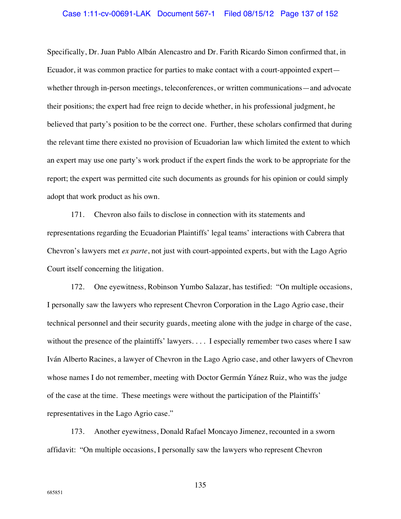### Case 1:11-cv-00691-LAK Document 567-1 Filed 08/15/12 Page 137 of 152

Specifically, Dr. Juan Pablo Albán Alencastro and Dr. Farith Ricardo Simon confirmed that, in Ecuador, it was common practice for parties to make contact with a court-appointed expert whether through in-person meetings, teleconferences, or written communications—and advocate their positions; the expert had free reign to decide whether, in his professional judgment, he believed that party's position to be the correct one. Further, these scholars confirmed that during the relevant time there existed no provision of Ecuadorian law which limited the extent to which an expert may use one party's work product if the expert finds the work to be appropriate for the report; the expert was permitted cite such documents as grounds for his opinion or could simply adopt that work product as his own.

171. Chevron also fails to disclose in connection with its statements and representations regarding the Ecuadorian Plaintiffs' legal teams' interactions with Cabrera that Chevron's lawyers met *ex parte*, not just with court-appointed experts, but with the Lago Agrio Court itself concerning the litigation.

172. One eyewitness, Robinson Yumbo Salazar, has testified: "On multiple occasions, I personally saw the lawyers who represent Chevron Corporation in the Lago Agrio case, their technical personnel and their security guards, meeting alone with the judge in charge of the case, without the presence of the plaintiffs' lawyers. . . . I especially remember two cases where I saw Iván Alberto Racines, a lawyer of Chevron in the Lago Agrio case, and other lawyers of Chevron whose names I do not remember, meeting with Doctor Germán Yánez Ruiz, who was the judge of the case at the time. These meetings were without the participation of the Plaintiffs' representatives in the Lago Agrio case."

173. Another eyewitness, Donald Rafael Moncayo Jimenez, recounted in a sworn affidavit: "On multiple occasions, I personally saw the lawyers who represent Chevron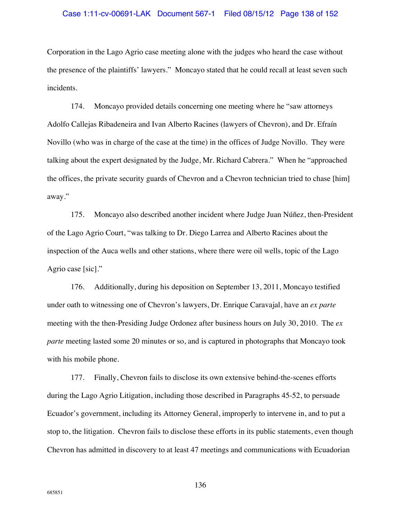Corporation in the Lago Agrio case meeting alone with the judges who heard the case without the presence of the plaintiffs' lawyers." Moncayo stated that he could recall at least seven such incidents.

174. Moncayo provided details concerning one meeting where he "saw attorneys Adolfo Callejas Ribadeneira and Ivan Alberto Racines (lawyers of Chevron), and Dr. Efraín Novillo (who was in charge of the case at the time) in the offices of Judge Novillo. They were talking about the expert designated by the Judge, Mr. Richard Cabrera." When he "approached the offices, the private security guards of Chevron and a Chevron technician tried to chase [him] away."

175. Moncayo also described another incident where Judge Juan Núñez, then-President of the Lago Agrio Court, "was talking to Dr. Diego Larrea and Alberto Racines about the inspection of the Auca wells and other stations, where there were oil wells, topic of the Lago Agrio case [sic]."

176. Additionally, during his deposition on September 13, 2011, Moncayo testified under oath to witnessing one of Chevron's lawyers, Dr. Enrique Caravajal, have an *ex parte* meeting with the then-Presiding Judge Ordonez after business hours on July 30, 2010. The *ex parte* meeting lasted some 20 minutes or so, and is captured in photographs that Moncayo took with his mobile phone.

177. Finally, Chevron fails to disclose its own extensive behind-the-scenes efforts during the Lago Agrio Litigation, including those described in Paragraphs 45-52, to persuade Ecuador's government, including its Attorney General, improperly to intervene in, and to put a stop to, the litigation. Chevron fails to disclose these efforts in its public statements, even though Chevron has admitted in discovery to at least 47 meetings and communications with Ecuadorian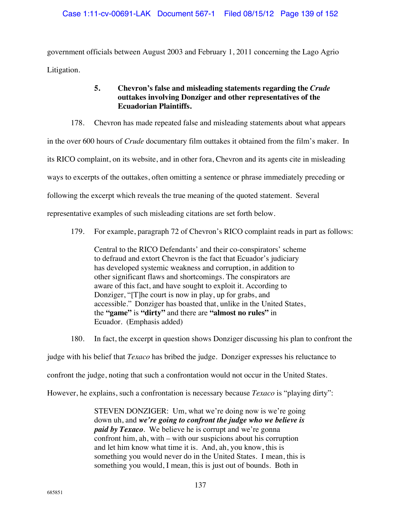government officials between August 2003 and February 1, 2011 concerning the Lago Agrio Litigation.

# **5. Chevron's false and misleading statements regarding the** *Crude* **outtakes involving Donziger and other representatives of the Ecuadorian Plaintiffs.**

178. Chevron has made repeated false and misleading statements about what appears in the over 600 hours of *Crude* documentary film outtakes it obtained from the film's maker. In its RICO complaint, on its website, and in other fora, Chevron and its agents cite in misleading ways to excerpts of the outtakes, often omitting a sentence or phrase immediately preceding or following the excerpt which reveals the true meaning of the quoted statement. Several

representative examples of such misleading citations are set forth below.

179. For example, paragraph 72 of Chevron's RICO complaint reads in part as follows:

Central to the RICO Defendants' and their co-conspirators' scheme to defraud and extort Chevron is the fact that Ecuador's judiciary has developed systemic weakness and corruption, in addition to other significant flaws and shortcomings. The conspirators are aware of this fact, and have sought to exploit it. According to Donziger, "[T]he court is now in play, up for grabs, and accessible." Donziger has boasted that, unlike in the United States, the **"game"** is **"dirty"** and there are **"almost no rules"** in Ecuador. (Emphasis added)

180. In fact, the excerpt in question shows Donziger discussing his plan to confront the

judge with his belief that *Texaco* has bribed the judge. Donziger expresses his reluctance to

confront the judge, noting that such a confrontation would not occur in the United States.

However, he explains, such a confrontation is necessary because *Texaco* is "playing dirty":

STEVEN DONZIGER: Um, what we're doing now is we're going down uh, and *we're going to confront the judge who we believe is paid by Texaco*. We believe he is corrupt and we're gonna confront him, ah, with – with our suspicions about his corruption and let him know what time it is. And, ah, you know, this is something you would never do in the United States. I mean, this is something you would, I mean, this is just out of bounds. Both in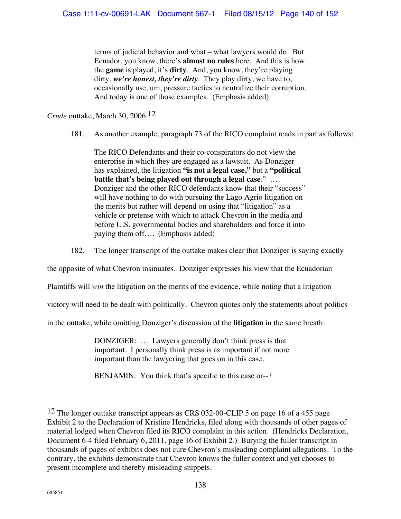terms of judicial behavior and what – what lawyers would do. But Ecuador, you know, there's **almost no rules** here. And this is how the **game** is played, it's **dirty**. And, you know, they're playing dirty, *we're honest, they're dirty*. They play dirty, we have to, occasionally use, um, pressure tactics to neutralize their corruption. And today is one of those examples. (Emphasis added)

*Crude* outtake, March 30, 2006.12

181. As another example, paragraph 73 of the RICO complaint reads in part as follows:

The RICO Defendants and their co-conspirators do not view the enterprise in which they are engaged as a lawsuit. As Donziger has explained, the litigation **"is not a legal case,"** but a **"political battle that's being played out through a legal case**." …. Donziger and the other RICO defendants know that their "success" will have nothing to do with pursuing the Lago Agrio litigation on the merits but rather will depend on using that "litigation" as a vehicle or pretense with which to attack Chevron in the media and before U.S. governmental bodies and shareholders and force it into paying them off…. (Emphasis added)

182. The longer transcript of the outtake makes clear that Donziger is saying exactly

the opposite of what Chevron insinuates. Donziger expresses his view that the Ecuadorian

Plaintiffs will *win* the litigation on the merits of the evidence, while noting that a litigation

victory will need to be dealt with politically. Chevron quotes only the statements about politics

in the outtake, while omitting Donziger's discussion of the **litigation** in the same breath:

DONZIGER: … Lawyers generally don't think press is that important. I personally think press is as important if not more important than the lawyering that goes on in this case.

BENJAMIN: You think that's specific to this case or--?

<sup>12</sup> The longer outtake transcript appears as CRS 032-00-CLIP 5 on page 16 of a 455 page Exhibit 2 to the Declaration of Kristine Hendricks, filed along with thousands of other pages of material lodged when Chevron filed its RICO complaint in this action. (Hendricks Declaration, Document 6-4 filed February 6, 2011, page 16 of Exhibit 2.) Burying the fuller transcript in thousands of pages of exhibits does not cure Chevron's misleading complaint allegations. To the contrary, the exhibits demonstrate that Chevron knows the fuller context and yet chooses to present incomplete and thereby misleading snippets.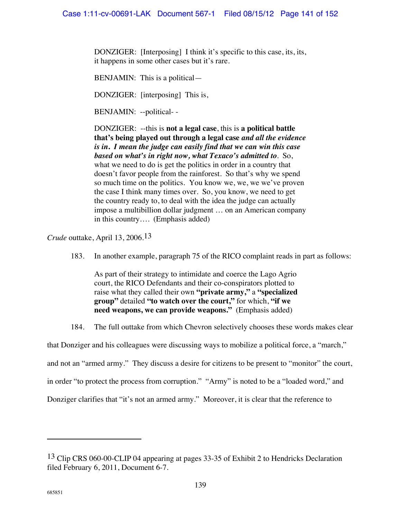DONZIGER: [Interposing] I think it's specific to this case, its, its, it happens in some other cases but it's rare.

BENJAMIN: This is a political—

DONZIGER: [interposing] This is,

BENJAMIN: --political- -

DONZIGER: --this is **not a legal case**, this is **a political battle that's being played out through a legal case** *and all the evidence is in***.** *I mean the judge can easily find that we can win this case based on what's in right now, what Texaco's admitted to*. So, what we need to do is get the politics in order in a country that doesn't favor people from the rainforest. So that's why we spend so much time on the politics. You know we, we, we we've proven the case I think many times over. So, you know, we need to get the country ready to, to deal with the idea the judge can actually impose a multibillion dollar judgment … on an American company in this country…. (Emphasis added)

*Crude* outtake, April 13, 2006.13

183. In another example, paragraph 75 of the RICO complaint reads in part as follows:

As part of their strategy to intimidate and coerce the Lago Agrio court, the RICO Defendants and their co-conspirators plotted to raise what they called their own **"private army,"** a **"specialized group"** detailed **"to watch over the court,"** for which, **"if we need weapons, we can provide weapons."** (Emphasis added)

184. The full outtake from which Chevron selectively chooses these words makes clear

that Donziger and his colleagues were discussing ways to mobilize a political force, a "march," and not an "armed army." They discuss a desire for citizens to be present to "monitor" the court,

in order "to protect the process from corruption." "Army" is noted to be a "loaded word," and

Donziger clarifies that "it's not an armed army." Moreover, it is clear that the reference to

<sup>&</sup>lt;sup>13</sup> Clip CRS 060-00-CLIP 04 appearing at pages 33-35 of Exhibit 2 to Hendricks Declaration filed February 6, 2011, Document 6-7.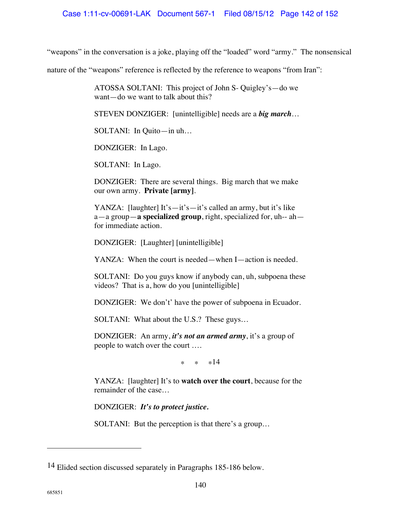"weapons" in the conversation is a joke, playing off the "loaded" word "army." The nonsensical

nature of the "weapons" reference is reflected by the reference to weapons "from Iran":

ATOSSA SOLTANI: This project of John S- Quigley's—do we want—do we want to talk about this?

STEVEN DONZIGER: [unintelligible] needs are a *big march*…

SOLTANI: In Quito—in uh…

DONZIGER: In Lago.

SOLTANI: In Lago.

DONZIGER: There are several things. Big march that we make our own army. **Private [army]**.

YANZA: [laughter] It's—it's—it's called an army, but it's like a—a group—**a specialized group**, right, specialized for, uh-- ah for immediate action.

DONZIGER: [Laughter] [unintelligible]

YANZA: When the court is needed—when I—action is needed.

SOLTANI: Do you guys know if anybody can, uh, subpoena these videos? That is a, how do you [unintelligible]

DONZIGER: We don't' have the power of subpoena in Ecuador.

SOLTANI: What about the U.S.? These guys…

DONZIGER: An army, *it's not an armed army*, it's a group of people to watch over the court ….

\* \* \*14

YANZA: [laughter] It's to **watch over the court**, because for the remainder of the case…

DONZIGER: *It's to protect justice.*

SOLTANI: But the perception is that there's a group…

<sup>14</sup> Elided section discussed separately in Paragraphs 185-186 below.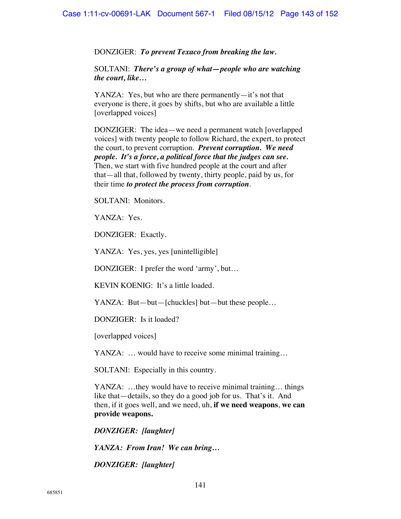DONZIGER: *To prevent Texaco from breaking the law.*

SOLTANI: *There's a group of what—people who are watching the court, like…*

YANZA: Yes, but who are there permanently—it's not that everyone is there, it goes by shifts, but who are available a little [overlapped voices]

DONZIGER: The idea—we need a permanent watch [overlapped voices] with twenty people to follow Richard, the expert, to protect the court, to prevent corruption. *Prevent corruption. We need people. It's a force, a political force that the judges can see.* Then, we start with five hundred people at the court and after that—all that, followed by twenty, thirty people, paid by us, for their time *to protect the process from corruption*.

SOLTANI: Monitors.

YANZA: Yes.

DONZIGER: Exactly.

YANZA: Yes, yes, yes [unintelligible]

DONZIGER: I prefer the word 'army', but…

KEVIN KOENIG: It's a little loaded.

YANZA: But—but—[chuckles] but—but these people…

DONZIGER: Is it loaded?

[overlapped voices]

YANZA: … would have to receive some minimal training…

SOLTANI: Especially in this country.

YANZA: ...they would have to receive minimal training... things like that—details, so they do a good job for us. That's it. And then, if it goes well, and we need, uh, **if we need weapons**, **we can provide weapons.**

*DONZIGER: [laughter]* 

*YANZA: From Iran! We can bring…* 

*DONZIGER: [laughter]*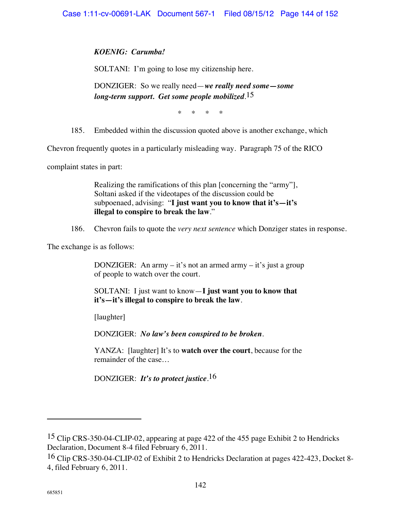# *KOENIG: Carumba!*

SOLTANI: I'm going to lose my citizenship here.

DONZIGER: So we really need—*we really need some—some long-term support. Get some people mobilized.* 15

\* \* \* \*

185. Embedded within the discussion quoted above is another exchange, which

Chevron frequently quotes in a particularly misleading way. Paragraph 75 of the RICO

complaint states in part:

Realizing the ramifications of this plan [concerning the "army"], Soltani asked if the videotapes of the discussion could be subpoenaed, advising: "**I just want you to know that it's—it's illegal to conspire to break the law**."

186. Chevron fails to quote the *very next sentence* which Donziger states in response.

The exchange is as follows:

DONZIGER: An army – it's not an armed army – it's just a group of people to watch over the court.

SOLTANI: I just want to know—**I just want you to know that it's—it's illegal to conspire to break the law**.

[laughter]

DONZIGER: *No law's been conspired to be broken.* 

YANZA: [laughter] It's to **watch over the court**, because for the remainder of the case…

DONZIGER: *It's to protect justice*. 16

<sup>15</sup> Clip CRS-350-04-CLIP-02, appearing at page 422 of the 455 page Exhibit 2 to Hendricks Declaration, Document 8-4 filed February 6, 2011.

<sup>16</sup> Clip CRS-350-04-CLIP-02 of Exhibit 2 to Hendricks Declaration at pages 422-423, Docket 8- 4, filed February 6, 2011.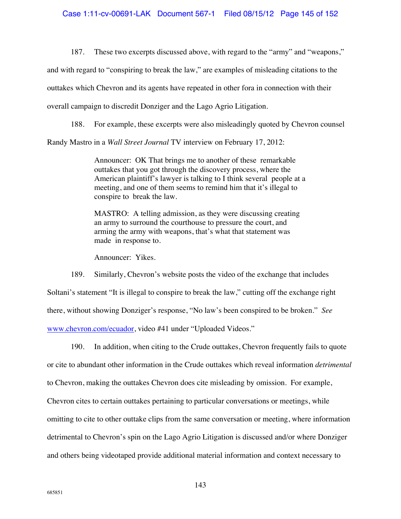187. These two excerpts discussed above, with regard to the "army" and "weapons,"

and with regard to "conspiring to break the law," are examples of misleading citations to the

outtakes which Chevron and its agents have repeated in other fora in connection with their

overall campaign to discredit Donziger and the Lago Agrio Litigation.

188. For example, these excerpts were also misleadingly quoted by Chevron counsel

Randy Mastro in a *Wall Street Journal* TV interview on February 17, 2012:

Announcer: OK That brings me to another of these remarkable outtakes that you got through the discovery process, where the American plaintiff's lawyer is talking to I think several people at a meeting, and one of them seems to remind him that it's illegal to conspire to break the law.

MASTRO: A telling admission, as they were discussing creating an army to surround the courthouse to pressure the court, and arming the army with weapons, that's what that statement was made in response to.

Announcer: Yikes.

189. Similarly, Chevron's website posts the video of the exchange that includes Soltani's statement "It is illegal to conspire to break the law," cutting off the exchange right there, without showing Donziger's response, "No law's been conspired to be broken." *See* www.chevron.com/ecuador, video #41 under "Uploaded Videos."

190. In addition, when citing to the Crude outtakes, Chevron frequently fails to quote or cite to abundant other information in the Crude outtakes which reveal information *detrimental* to Chevron, making the outtakes Chevron does cite misleading by omission. For example, Chevron cites to certain outtakes pertaining to particular conversations or meetings, while omitting to cite to other outtake clips from the same conversation or meeting, where information detrimental to Chevron's spin on the Lago Agrio Litigation is discussed and/or where Donziger and others being videotaped provide additional material information and context necessary to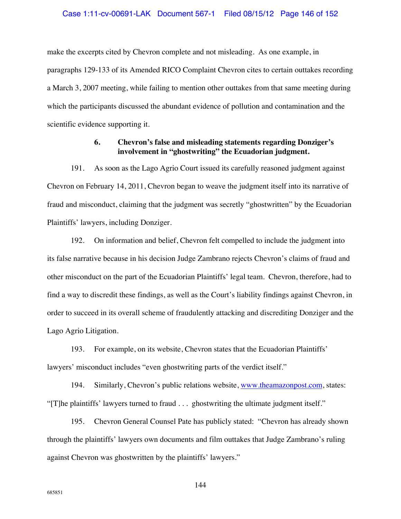make the excerpts cited by Chevron complete and not misleading. As one example, in paragraphs 129-133 of its Amended RICO Complaint Chevron cites to certain outtakes recording a March 3, 2007 meeting, while failing to mention other outtakes from that same meeting during which the participants discussed the abundant evidence of pollution and contamination and the scientific evidence supporting it.

# **6. Chevron's false and misleading statements regarding Donziger's involvement in "ghostwriting" the Ecuadorian judgment.**

191. As soon as the Lago Agrio Court issued its carefully reasoned judgment against Chevron on February 14, 2011, Chevron began to weave the judgment itself into its narrative of fraud and misconduct, claiming that the judgment was secretly "ghostwritten" by the Ecuadorian Plaintiffs' lawyers, including Donziger.

192. On information and belief, Chevron felt compelled to include the judgment into its false narrative because in his decision Judge Zambrano rejects Chevron's claims of fraud and other misconduct on the part of the Ecuadorian Plaintiffs' legal team. Chevron, therefore, had to find a way to discredit these findings, as well as the Court's liability findings against Chevron, in order to succeed in its overall scheme of fraudulently attacking and discrediting Donziger and the Lago Agrio Litigation.

193. For example, on its website, Chevron states that the Ecuadorian Plaintiffs' lawyers' misconduct includes "even ghostwriting parts of the verdict itself."

194. Similarly, Chevron's public relations website, www.theamazonpost.com, states: "[T]he plaintiffs' lawyers turned to fraud . . . ghostwriting the ultimate judgment itself."

195. Chevron General Counsel Pate has publicly stated: "Chevron has already shown through the plaintiffs' lawyers own documents and film outtakes that Judge Zambrano's ruling against Chevron was ghostwritten by the plaintiffs' lawyers."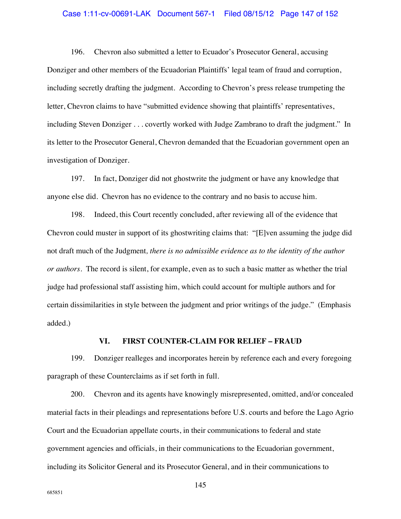### Case 1:11-cv-00691-LAK Document 567-1 Filed 08/15/12 Page 147 of 152

196. Chevron also submitted a letter to Ecuador's Prosecutor General, accusing Donziger and other members of the Ecuadorian Plaintiffs' legal team of fraud and corruption, including secretly drafting the judgment. According to Chevron's press release trumpeting the letter, Chevron claims to have "submitted evidence showing that plaintiffs' representatives, including Steven Donziger . . . covertly worked with Judge Zambrano to draft the judgment." In its letter to the Prosecutor General, Chevron demanded that the Ecuadorian government open an investigation of Donziger.

197. In fact, Donziger did not ghostwrite the judgment or have any knowledge that anyone else did. Chevron has no evidence to the contrary and no basis to accuse him.

198. Indeed, this Court recently concluded, after reviewing all of the evidence that Chevron could muster in support of its ghostwriting claims that: "[E]ven assuming the judge did not draft much of the Judgment*, there is no admissible evidence as to the identity of the author or authors.* The record is silent, for example, even as to such a basic matter as whether the trial judge had professional staff assisting him, which could account for multiple authors and for certain dissimilarities in style between the judgment and prior writings of the judge." (Emphasis added.)

### **VI. FIRST COUNTER-CLAIM FOR RELIEF – FRAUD**

199. Donziger realleges and incorporates herein by reference each and every foregoing paragraph of these Counterclaims as if set forth in full.

200. Chevron and its agents have knowingly misrepresented, omitted, and/or concealed material facts in their pleadings and representations before U.S. courts and before the Lago Agrio Court and the Ecuadorian appellate courts, in their communications to federal and state government agencies and officials, in their communications to the Ecuadorian government, including its Solicitor General and its Prosecutor General, and in their communications to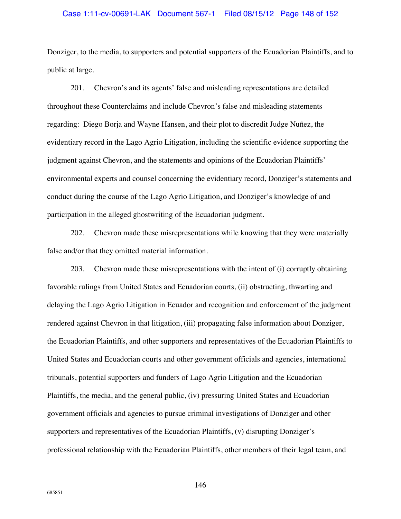## Case 1:11-cv-00691-LAK Document 567-1 Filed 08/15/12 Page 148 of 152

Donziger, to the media, to supporters and potential supporters of the Ecuadorian Plaintiffs, and to public at large.

201. Chevron's and its agents' false and misleading representations are detailed throughout these Counterclaims and include Chevron's false and misleading statements regarding: Diego Borja and Wayne Hansen, and their plot to discredit Judge Nuñez, the evidentiary record in the Lago Agrio Litigation, including the scientific evidence supporting the judgment against Chevron, and the statements and opinions of the Ecuadorian Plaintiffs' environmental experts and counsel concerning the evidentiary record, Donziger's statements and conduct during the course of the Lago Agrio Litigation, and Donziger's knowledge of and participation in the alleged ghostwriting of the Ecuadorian judgment.

202. Chevron made these misrepresentations while knowing that they were materially false and/or that they omitted material information.

203. Chevron made these misrepresentations with the intent of (i) corruptly obtaining favorable rulings from United States and Ecuadorian courts, (ii) obstructing, thwarting and delaying the Lago Agrio Litigation in Ecuador and recognition and enforcement of the judgment rendered against Chevron in that litigation, (iii) propagating false information about Donziger, the Ecuadorian Plaintiffs, and other supporters and representatives of the Ecuadorian Plaintiffs to United States and Ecuadorian courts and other government officials and agencies, international tribunals, potential supporters and funders of Lago Agrio Litigation and the Ecuadorian Plaintiffs, the media, and the general public, (iv) pressuring United States and Ecuadorian government officials and agencies to pursue criminal investigations of Donziger and other supporters and representatives of the Ecuadorian Plaintiffs, (v) disrupting Donziger's professional relationship with the Ecuadorian Plaintiffs, other members of their legal team, and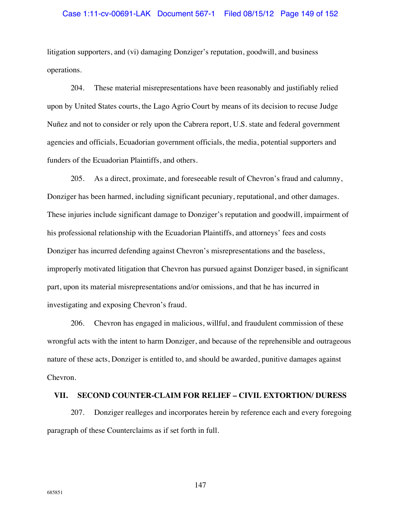### Case 1:11-cv-00691-LAK Document 567-1 Filed 08/15/12 Page 149 of 152

litigation supporters, and (vi) damaging Donziger's reputation, goodwill, and business operations.

204. These material misrepresentations have been reasonably and justifiably relied upon by United States courts, the Lago Agrio Court by means of its decision to recuse Judge Nuñez and not to consider or rely upon the Cabrera report, U.S. state and federal government agencies and officials, Ecuadorian government officials, the media, potential supporters and funders of the Ecuadorian Plaintiffs, and others.

205. As a direct, proximate, and foreseeable result of Chevron's fraud and calumny, Donziger has been harmed, including significant pecuniary, reputational, and other damages. These injuries include significant damage to Donziger's reputation and goodwill, impairment of his professional relationship with the Ecuadorian Plaintiffs, and attorneys' fees and costs Donziger has incurred defending against Chevron's misrepresentations and the baseless, improperly motivated litigation that Chevron has pursued against Donziger based, in significant part, upon its material misrepresentations and/or omissions, and that he has incurred in investigating and exposing Chevron's fraud.

206. Chevron has engaged in malicious, willful, and fraudulent commission of these wrongful acts with the intent to harm Donziger, and because of the reprehensible and outrageous nature of these acts, Donziger is entitled to, and should be awarded, punitive damages against Chevron.

### **VII. SECOND COUNTER-CLAIM FOR RELIEF – CIVIL EXTORTION/ DURESS**

207. Donziger realleges and incorporates herein by reference each and every foregoing paragraph of these Counterclaims as if set forth in full.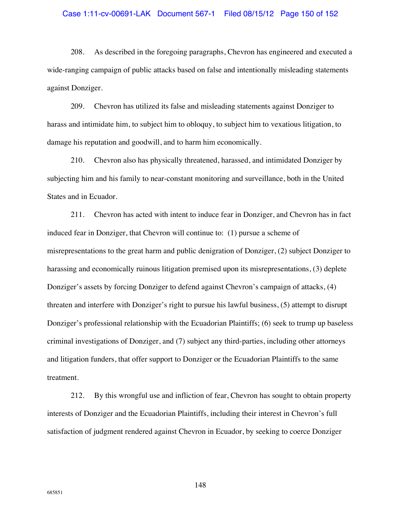### Case 1:11-cv-00691-LAK Document 567-1 Filed 08/15/12 Page 150 of 152

208. As described in the foregoing paragraphs, Chevron has engineered and executed a wide-ranging campaign of public attacks based on false and intentionally misleading statements against Donziger.

209. Chevron has utilized its false and misleading statements against Donziger to harass and intimidate him, to subject him to obloquy, to subject him to vexatious litigation, to damage his reputation and goodwill, and to harm him economically.

210. Chevron also has physically threatened, harassed, and intimidated Donziger by subjecting him and his family to near-constant monitoring and surveillance, both in the United States and in Ecuador.

211. Chevron has acted with intent to induce fear in Donziger, and Chevron has in fact induced fear in Donziger, that Chevron will continue to: (1) pursue a scheme of misrepresentations to the great harm and public denigration of Donziger, (2) subject Donziger to harassing and economically ruinous litigation premised upon its misrepresentations, (3) deplete Donziger's assets by forcing Donziger to defend against Chevron's campaign of attacks, (4) threaten and interfere with Donziger's right to pursue his lawful business, (5) attempt to disrupt Donziger's professional relationship with the Ecuadorian Plaintiffs; (6) seek to trump up baseless criminal investigations of Donziger, and (7) subject any third-parties, including other attorneys and litigation funders, that offer support to Donziger or the Ecuadorian Plaintiffs to the same treatment.

212. By this wrongful use and infliction of fear, Chevron has sought to obtain property interests of Donziger and the Ecuadorian Plaintiffs, including their interest in Chevron's full satisfaction of judgment rendered against Chevron in Ecuador, by seeking to coerce Donziger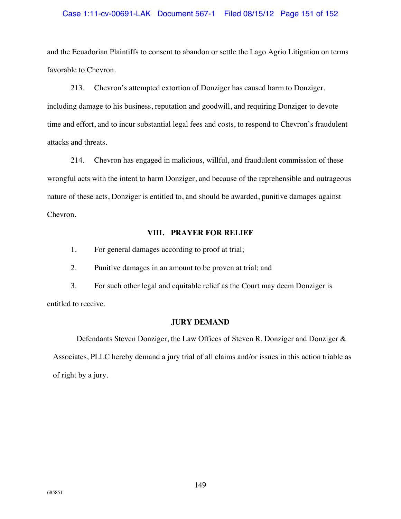## Case 1:11-cv-00691-LAK Document 567-1 Filed 08/15/12 Page 151 of 152

and the Ecuadorian Plaintiffs to consent to abandon or settle the Lago Agrio Litigation on terms favorable to Chevron.

213. Chevron's attempted extortion of Donziger has caused harm to Donziger, including damage to his business, reputation and goodwill, and requiring Donziger to devote time and effort, and to incur substantial legal fees and costs, to respond to Chevron's fraudulent attacks and threats.

214. Chevron has engaged in malicious, willful, and fraudulent commission of these wrongful acts with the intent to harm Donziger, and because of the reprehensible and outrageous nature of these acts, Donziger is entitled to, and should be awarded, punitive damages against Chevron.

# **VIII. PRAYER FOR RELIEF**

1. For general damages according to proof at trial;

2. Punitive damages in an amount to be proven at trial; and

3. For such other legal and equitable relief as the Court may deem Donziger is entitled to receive.

# **JURY DEMAND**

Defendants Steven Donziger, the Law Offices of Steven R. Donziger and Donziger & Associates, PLLC hereby demand a jury trial of all claims and/or issues in this action triable as of right by a jury.